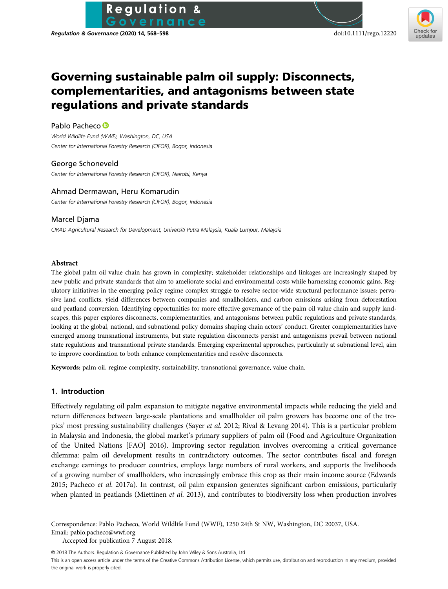# Governing sustainable palm oil supply: Disconnects, complementarities, and antagonisms between state regulations and private standards

Pablo Pacheco<sup>D</sup>

World Wildlife Fund (WWF), Washington, DC, USA Center for International Forestry Research (CIFOR), Bogor, Indonesia

George Schoneveld Center for International Forestry Research (CIFOR), Nairobi, Kenya

## Ahmad Dermawan, Heru Komarudin

Center for International Forestry Research (CIFOR), Bogor, Indonesia

## Marcel Djama

CIRAD Agricultural Research for Development, Universiti Putra Malaysia, Kuala Lumpur, Malaysia

## Abstract

The global palm oil value chain has grown in complexity; stakeholder relationships and linkages are increasingly shaped by new public and private standards that aim to ameliorate social and environmental costs while harnessing economic gains. Regulatory initiatives in the emerging policy regime complex struggle to resolve sector-wide structural performance issues: pervasive land conflicts, yield differences between companies and smallholders, and carbon emissions arising from deforestation and peatland conversion. Identifying opportunities for more effective governance of the palm oil value chain and supply landscapes, this paper explores disconnects, complementarities, and antagonisms between public regulations and private standards, looking at the global, national, and subnational policy domains shaping chain actors' conduct. Greater complementarities have emerged among transnational instruments, but state regulation disconnects persist and antagonisms prevail between national state regulations and transnational private standards. Emerging experimental approaches, particularly at subnational level, aim to improve coordination to both enhance complementarities and resolve disconnects.

Keywords: palm oil, regime complexity, sustainability, transnational governance, value chain.

# 1. Introduction

Effectively regulating oil palm expansion to mitigate negative environmental impacts while reducing the yield and return differences between large-scale plantations and smallholder oil palm growers has become one of the tropics' most pressing sustainability challenges (Sayer et al. 2012; Rival & Levang 2014). This is a particular problem in Malaysia and Indonesia, the global market's primary suppliers of palm oil (Food and Agriculture Organization of the United Nations [FAO] 2016). Improving sector regulation involves overcoming a critical governance dilemma: palm oil development results in contradictory outcomes. The sector contributes fiscal and foreign exchange earnings to producer countries, employs large numbers of rural workers, and supports the livelihoods of a growing number of smallholders, who increasingly embrace this crop as their main income source (Edwards 2015; Pacheco et al. 2017a). In contrast, oil palm expansion generates significant carbon emissions, particularly when planted in peatlands (Miettinen et al. 2013), and contributes to biodiversity loss when production involves

Correspondence: Pablo Pacheco, World Wildlife Fund (WWF), 1250 24th St NW, Washington, DC 20037, USA. Email: [pablo.pacheco@wwf.org](mailto:pablo.pacheco@wwf.org)

Accepted for publication 7 August 2018.

© 2018 The Authors. Regulation & Governance Published by John Wiley & Sons Australia, Ltd This is an open access article under the terms of the [Creative Commons Attribution](http://creativecommons.org/licenses/by/4.0/) License, which permits use, distribution and reproduction in any medium, provided the original work is properly cited.

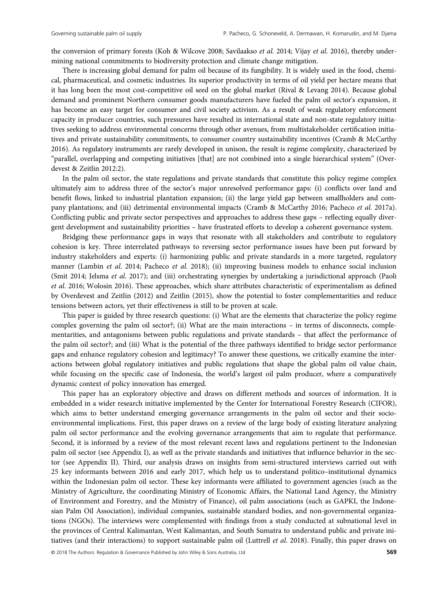the conversion of primary forests (Koh & Wilcove 2008; Savilaakso et al. 2014; Vijay et al. 2016), thereby undermining national commitments to biodiversity protection and climate change mitigation.

There is increasing global demand for palm oil because of its fungibility. It is widely used in the food, chemical, pharmaceutical, and cosmetic industries. Its superior productivity in terms of oil yield per hectare means that it has long been the most cost-competitive oil seed on the global market (Rival & Levang 2014). Because global demand and prominent Northern consumer goods manufacturers have fueled the palm oil sector's expansion, it has become an easy target for consumer and civil society activism. As a result of weak regulatory enforcement capacity in producer countries, such pressures have resulted in international state and non-state regulatory initiatives seeking to address environmental concerns through other avenues, from multistakeholder certification initiatives and private sustainability commitments, to consumer country sustainability incentives (Cramb & McCarthy 2016). As regulatory instruments are rarely developed in unison, the result is regime complexity, characterized by "parallel, overlapping and competing initiatives [that] are not combined into a single hierarchical system" (Overdevest & Zeitlin 2012:2).

In the palm oil sector, the state regulations and private standards that constitute this policy regime complex ultimately aim to address three of the sector's major unresolved performance gaps: (i) conflicts over land and benefit flows, linked to industrial plantation expansion; (ii) the large yield gap between smallholders and company plantations; and (iii) detrimental environmental impacts (Cramb & McCarthy 2016; Pacheco et al. 2017a). Conflicting public and private sector perspectives and approaches to address these gaps – reflecting equally divergent development and sustainability priorities – have frustrated efforts to develop a coherent governance system.

Bridging these performance gaps in ways that resonate with all stakeholders and contribute to regulatory cohesion is key. Three interrelated pathways to reversing sector performance issues have been put forward by industry stakeholders and experts: (i) harmonizing public and private standards in a more targeted, regulatory manner (Lambin et al. 2014; Pacheco et al. 2018); (ii) improving business models to enhance social inclusion (Smit 2014; Jelsma et al. 2017); and (iii) orchestrating synergies by undertaking a jurisdictional approach (Paoli et al. 2016; Wolosin 2016). These approaches, which share attributes characteristic of experimentalism as defined by Overdevest and Zeitlin (2012) and Zeitlin (2015), show the potential to foster complementarities and reduce tensions between actors, yet their effectiveness is still to be proven at scale.

This paper is guided by three research questions: (i) What are the elements that characterize the policy regime complex governing the palm oil sector?; (ii) What are the main interactions – in terms of disconnects, complementarities, and antagonisms between public regulations and private standards – that affect the performance of the palm oil sector?; and (iii) What is the potential of the three pathways identified to bridge sector performance gaps and enhance regulatory cohesion and legitimacy? To answer these questions, we critically examine the interactions between global regulatory initiatives and public regulations that shape the global palm oil value chain, while focusing on the specific case of Indonesia, the world's largest oil palm producer, where a comparatively dynamic context of policy innovation has emerged.

This paper has an exploratory objective and draws on different methods and sources of information. It is embedded in a wider research initiative implemented by the Center for International Forestry Research (CIFOR), which aims to better understand emerging governance arrangements in the palm oil sector and their socioenvironmental implications. First, this paper draws on a review of the large body of existing literature analyzing palm oil sector performance and the evolving governance arrangements that aim to regulate that performance. Second, it is informed by a review of the most relevant recent laws and regulations pertinent to the Indonesian palm oil sector (see Appendix I), as well as the private standards and initiatives that influence behavior in the sector (see Appendix II). Third, our analysis draws on insights from semi-structured interviews carried out with 25 key informants between 2016 and early 2017, which help us to understand politico–institutional dynamics within the Indonesian palm oil sector. These key informants were affiliated to government agencies (such as the Ministry of Agriculture, the coordinating Ministry of Economic Affairs, the National Land Agency, the Ministry of Environment and Forestry, and the Ministry of Finance), oil palm associations (such as GAPKI, the Indonesian Palm Oil Association), individual companies, sustainable standard bodies, and non-governmental organizations (NGOs). The interviews were complemented with findings from a study conducted at subnational level in the provinces of Central Kalimantan, West Kalimantan, and South Sumatra to understand public and private initiatives (and their interactions) to support sustainable palm oil (Luttrell et al. 2018). Finally, this paper draws on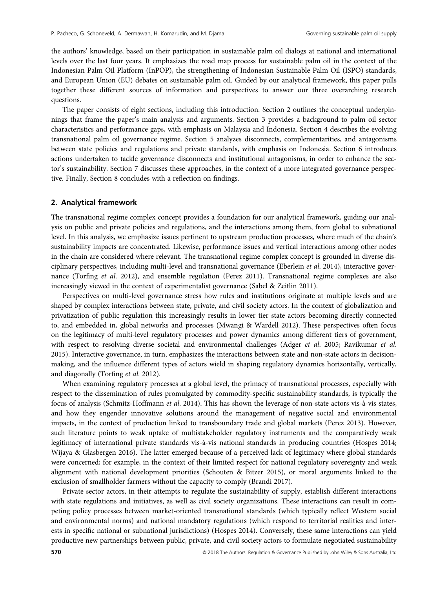the authors' knowledge, based on their participation in sustainable palm oil dialogs at national and international levels over the last four years. It emphasizes the road map process for sustainable palm oil in the context of the Indonesian Palm Oil Platform (InPOP), the strengthening of Indonesian Sustainable Palm Oil (ISPO) standards, and European Union (EU) debates on sustainable palm oil. Guided by our analytical framework, this paper pulls together these different sources of information and perspectives to answer our three overarching research questions.

The paper consists of eight sections, including this introduction. Section 2 outlines the conceptual underpinnings that frame the paper's main analysis and arguments. Section 3 provides a background to palm oil sector characteristics and performance gaps, with emphasis on Malaysia and Indonesia. Section 4 describes the evolving transnational palm oil governance regime. Section 5 analyzes disconnects, complementarities, and antagonisms between state policies and regulations and private standards, with emphasis on Indonesia. Section 6 introduces actions undertaken to tackle governance disconnects and institutional antagonisms, in order to enhance the sector's sustainability. Section 7 discusses these approaches, in the context of a more integrated governance perspective. Finally, Section 8 concludes with a reflection on findings.

#### 2. Analytical framework

The transnational regime complex concept provides a foundation for our analytical framework, guiding our analysis on public and private policies and regulations, and the interactions among them, from global to subnational level. In this analysis, we emphasize issues pertinent to upstream production processes, where much of the chain's sustainability impacts are concentrated. Likewise, performance issues and vertical interactions among other nodes in the chain are considered where relevant. The transnational regime complex concept is grounded in diverse disciplinary perspectives, including multi-level and transnational governance (Eberlein et al. 2014), interactive governance (Torfing et al. 2012), and ensemble regulation (Perez 2011). Transnational regime complexes are also increasingly viewed in the context of experimentalist governance (Sabel & Zeitlin 2011).

Perspectives on multi-level governance stress how rules and institutions originate at multiple levels and are shaped by complex interactions between state, private, and civil society actors. In the context of globalization and privatization of public regulation this increasingly results in lower tier state actors becoming directly connected to, and embedded in, global networks and processes (Mwangi & Wardell 2012). These perspectives often focus on the legitimacy of multi-level regulatory processes and power dynamics among different tiers of government, with respect to resolving diverse societal and environmental challenges (Adger et al. 2005; Ravikumar et al. 2015). Interactive governance, in turn, emphasizes the interactions between state and non-state actors in decisionmaking, and the influence different types of actors wield in shaping regulatory dynamics horizontally, vertically, and diagonally (Torfing et al. 2012).

When examining regulatory processes at a global level, the primacy of transnational processes, especially with respect to the dissemination of rules promulgated by commodity-specific sustainability standards, is typically the focus of analysis (Schmitz-Hoffmann et al. 2014). This has shown the leverage of non-state actors vis-à-vis states, and how they engender innovative solutions around the management of negative social and environmental impacts, in the context of production linked to transboundary trade and global markets (Perez 2013). However, such literature points to weak uptake of multistakeholder regulatory instruments and the comparatively weak legitimacy of international private standards vis-à-vis national standards in producing countries (Hospes 2014; Wijaya & Glasbergen 2016). The latter emerged because of a perceived lack of legitimacy where global standards were concerned; for example, in the context of their limited respect for national regulatory sovereignty and weak alignment with national development priorities (Schouten & Bitzer 2015), or moral arguments linked to the exclusion of smallholder farmers without the capacity to comply (Brandi 2017).

Private sector actors, in their attempts to regulate the sustainability of supply, establish different interactions with state regulations and initiatives, as well as civil society organizations. These interactions can result in competing policy processes between market-oriented transnational standards (which typically reflect Western social and environmental norms) and national mandatory regulations (which respond to territorial realities and interests in specific national or subnational jurisdictions) (Hospes 2014). Conversely, these same interactions can yield productive new partnerships between public, private, and civil society actors to formulate negotiated sustainability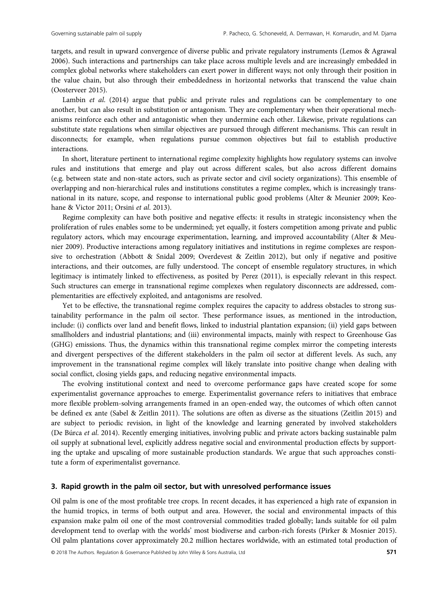targets, and result in upward convergence of diverse public and private regulatory instruments (Lemos & Agrawal 2006). Such interactions and partnerships can take place across multiple levels and are increasingly embedded in complex global networks where stakeholders can exert power in different ways; not only through their position in the value chain, but also through their embeddedness in horizontal networks that transcend the value chain (Oosterveer 2015).

Lambin et al. (2014) argue that public and private rules and regulations can be complementary to one another, but can also result in substitution or antagonism. They are complementary when their operational mechanisms reinforce each other and antagonistic when they undermine each other. Likewise, private regulations can substitute state regulations when similar objectives are pursued through different mechanisms. This can result in disconnects; for example, when regulations pursue common objectives but fail to establish productive interactions.

In short, literature pertinent to international regime complexity highlights how regulatory systems can involve rules and institutions that emerge and play out across different scales, but also across different domains (e.g. between state and non-state actors, such as private sector and civil society organizations). This ensemble of overlapping and non-hierarchical rules and institutions constitutes a regime complex, which is increasingly transnational in its nature, scope, and response to international public good problems (Alter & Meunier 2009; Keohane & Victor 2011; Orsini et al. 2013).

Regime complexity can have both positive and negative effects: it results in strategic inconsistency when the proliferation of rules enables some to be undermined; yet equally, it fosters competition among private and public regulatory actors, which may encourage experimentation, learning, and improved accountability (Alter & Meunier 2009). Productive interactions among regulatory initiatives and institutions in regime complexes are responsive to orchestration (Abbott & Snidal 2009; Overdevest & Zeitlin 2012), but only if negative and positive interactions, and their outcomes, are fully understood. The concept of ensemble regulatory structures, in which legitimacy is intimately linked to effectiveness, as posited by Perez (2011), is especially relevant in this respect. Such structures can emerge in transnational regime complexes when regulatory disconnects are addressed, complementarities are effectively exploited, and antagonisms are resolved.

Yet to be effective, the transnational regime complex requires the capacity to address obstacles to strong sustainability performance in the palm oil sector. These performance issues, as mentioned in the introduction, include: (i) conflicts over land and benefit flows, linked to industrial plantation expansion; (ii) yield gaps between smallholders and industrial plantations; and (iii) environmental impacts, mainly with respect to Greenhouse Gas (GHG) emissions. Thus, the dynamics within this transnational regime complex mirror the competing interests and divergent perspectives of the different stakeholders in the palm oil sector at different levels. As such, any improvement in the transnational regime complex will likely translate into positive change when dealing with social conflict, closing yields gaps, and reducing negative environmental impacts.

The evolving institutional context and need to overcome performance gaps have created scope for some experimentalist governance approaches to emerge. Experimentalist governance refers to initiatives that embrace more flexible problem-solving arrangements framed in an open-ended way, the outcomes of which often cannot be defined ex ante (Sabel & Zeitlin 2011). The solutions are often as diverse as the situations (Zeitlin 2015) and are subject to periodic revision, in light of the knowledge and learning generated by involved stakeholders (De Búrca et al. 2014). Recently emerging initiatives, involving public and private actors backing sustainable palm oil supply at subnational level, explicitly address negative social and environmental production effects by supporting the uptake and upscaling of more sustainable production standards. We argue that such approaches constitute a form of experimentalist governance.

# 3. Rapid growth in the palm oil sector, but with unresolved performance issues

Oil palm is one of the most profitable tree crops. In recent decades, it has experienced a high rate of expansion in the humid tropics, in terms of both output and area. However, the social and environmental impacts of this expansion make palm oil one of the most controversial commodities traded globally; lands suitable for oil palm development tend to overlap with the worlds' most biodiverse and carbon-rich forests (Pirker & Mosnier 2015). Oil palm plantations cover approximately 20.2 million hectares worldwide, with an estimated total production of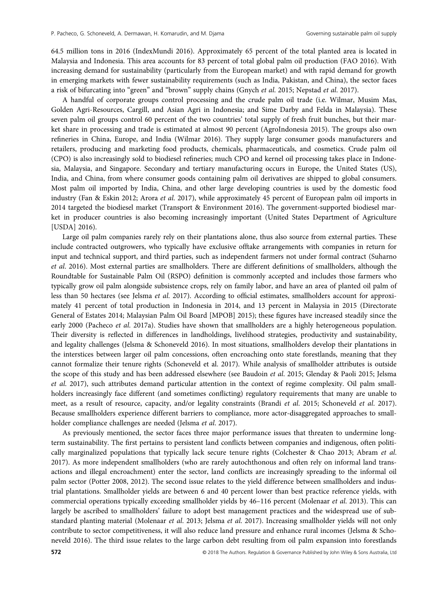64.5 million tons in 2016 (IndexMundi 2016). Approximately 65 percent of the total planted area is located in Malaysia and Indonesia. This area accounts for 83 percent of total global palm oil production (FAO 2016). With increasing demand for sustainability (particularly from the European market) and with rapid demand for growth in emerging markets with fewer sustainability requirements (such as India, Pakistan, and China), the sector faces a risk of bifurcating into "green" and "brown" supply chains (Gnych et al. 2015; Nepstad et al. 2017).

A handful of corporate groups control processing and the crude palm oil trade (i.e. Wilmar, Musim Mas, Golden Agri-Resources, Cargill, and Asian Agri in Indonesia; and Sime Darby and Felda in Malaysia). These seven palm oil groups control 60 percent of the two countries' total supply of fresh fruit bunches, but their market share in processing and trade is estimated at almost 90 percent (AgroIndonesia 2015). The groups also own refineries in China, Europe, and India (Wilmar 2016). They supply large consumer goods manufacturers and retailers, producing and marketing food products, chemicals, pharmaceuticals, and cosmetics. Crude palm oil (CPO) is also increasingly sold to biodiesel refineries; much CPO and kernel oil processing takes place in Indonesia, Malaysia, and Singapore. Secondary and tertiary manufacturing occurs in Europe, the United States (US), India, and China, from where consumer goods containing palm oil derivatives are shipped to global consumers. Most palm oil imported by India, China, and other large developing countries is used by the domestic food industry (Fan & Eskin 2012; Arora et al. 2017), while approximately 45 percent of European palm oil imports in 2014 targeted the biodiesel market (Transport & Environment 2016). The government-supported biodiesel market in producer countries is also becoming increasingly important (United States Department of Agriculture [USDA] 2016).

Large oil palm companies rarely rely on their plantations alone, thus also source from external parties. These include contracted outgrowers, who typically have exclusive offtake arrangements with companies in return for input and technical support, and third parties, such as independent farmers not under formal contract (Suharno et al. 2016). Most external parties are smallholders. There are different definitions of smallholders, although the Roundtable for Sustainable Palm Oil (RSPO) definition is commonly accepted and includes those farmers who typically grow oil palm alongside subsistence crops, rely on family labor, and have an area of planted oil palm of less than 50 hectares (see Jelsma et al. 2017). According to official estimates, smallholders account for approximately 41 percent of total production in Indonesia in 2014, and 13 percent in Malaysia in 2015 (Directorate General of Estates 2014; Malaysian Palm Oil Board [MPOB] 2015); these figures have increased steadily since the early 2000 (Pacheco et al. 2017a). Studies have shown that smallholders are a highly heterogeneous population. Their diversity is reflected in differences in landholdings, livelihood strategies, productivity and sustainability, and legality challenges (Jelsma & Schoneveld 2016). In most situations, smallholders develop their plantations in the interstices between larger oil palm concessions, often encroaching onto state forestlands, meaning that they cannot formalize their tenure rights (Schoneveld et al. 2017). While analysis of smallholder attributes is outside the scope of this study and has been addressed elsewhere (see Baudoin et al. 2015; Glenday & Paoli 2015; Jelsma et al. 2017), such attributes demand particular attention in the context of regime complexity. Oil palm smallholders increasingly face different (and sometimes conflicting) regulatory requirements that many are unable to meet, as a result of resource, capacity, and/or legality constraints (Brandi et al. 2015; Schoneveld et al. 2017). Because smallholders experience different barriers to compliance, more actor-disaggregated approaches to smallholder compliance challenges are needed (Jelsma et al. 2017).

As previously mentioned, the sector faces three major performance issues that threaten to undermine longterm sustainability. The first pertains to persistent land conflicts between companies and indigenous, often politically marginalized populations that typically lack secure tenure rights (Colchester & Chao 2013; Abram et al. 2017). As more independent smallholders (who are rarely autochthonous and often rely on informal land transactions and illegal encroachment) enter the sector, land conflicts are increasingly spreading to the informal oil palm sector (Potter 2008, 2012). The second issue relates to the yield difference between smallholders and industrial plantations. Smallholder yields are between 6 and 40 percent lower than best practice reference yields, with commercial operations typically exceeding smallholder yields by 46–116 percent (Molenaar et al. 2013). This can largely be ascribed to smallholders' failure to adopt best management practices and the widespread use of substandard planting material (Molenaar et al. 2013; Jelsma et al. 2017). Increasing smallholder yields will not only contribute to sector competitiveness, it will also reduce land pressure and enhance rural incomes (Jelsma & Schoneveld 2016). The third issue relates to the large carbon debt resulting from oil palm expansion into forestlands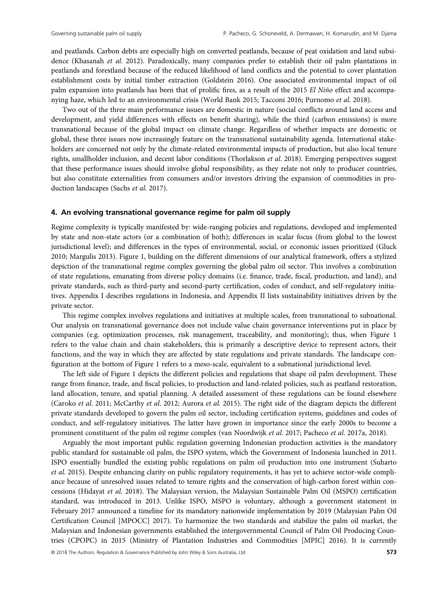and peatlands. Carbon debts are especially high on converted peatlands, because of peat oxidation and land subsidence (Khasanah et al. 2012). Paradoxically, many companies prefer to establish their oil palm plantations in peatlands and forestland because of the reduced likelihood of land conflicts and the potential to cover plantation establishment costs by initial timber extraction (Goldstein 2016). One associated environmental impact of oil palm expansion into peatlands has been that of prolific fires, as a result of the 2015 El Niño effect and accompanying haze, which led to an environmental crisis (World Bank 2015; Tacconi 2016; Purnomo et al. 2018).

Two out of the three main performance issues are domestic in nature (social conflicts around land access and development, and yield differences with effects on benefit sharing), while the third (carbon emissions) is more transnational because of the global impact on climate change. Regardless of whether impacts are domestic or global, these three issues now increasingly feature on the transnational sustainability agenda. International stakeholders are concerned not only by the climate-related environmental impacts of production, but also local tenure rights, smallholder inclusion, and decent labor conditions (Thorlakson et al. 2018). Emerging perspectives suggest that these performance issues should involve global responsibility, as they relate not only to producer countries, but also constitute externalities from consumers and/or investors driving the expansion of commodities in production landscapes (Sachs et al. 2017).

## 4. An evolving transnational governance regime for palm oil supply

Regime complexity is typically manifested by: wide-ranging policies and regulations, developed and implemented by state and non-state actors (or a combination of both); differences in scalar focus (from global to the lowest jurisdictional level); and differences in the types of environmental, social, or economic issues prioritized (Gluck 2010; Margulis 2013). Figure 1, building on the different dimensions of our analytical framework, offers a stylized depiction of the transnational regime complex governing the global palm oil sector. This involves a combination of state regulations, emanating from diverse policy domains (i.e. finance, trade, fiscal, production, and land), and private standards, such as third-party and second-party certification, codes of conduct, and self-regulatory initiatives. Appendix I describes regulations in Indonesia, and Appendix II lists sustainability initiatives driven by the private sector.

This regime complex involves regulations and initiatives at multiple scales, from transnational to subnational. Our analysis on transnational governance does not include value chain governance interventions put in place by companies (e.g. optimization processes, risk management, traceability, and monitoring); thus, when Figure 1 refers to the value chain and chain stakeholders, this is primarily a descriptive device to represent actors, their functions, and the way in which they are affected by state regulations and private standards. The landscape configuration at the bottom of Figure 1 refers to a meso-scale, equivalent to a subnational jurisdictional level.

The left side of Figure 1 depicts the different policies and regulations that shape oil palm development. These range from finance, trade, and fiscal policies, to production and land-related policies, such as peatland restoration, land allocation, tenure, and spatial planning. A detailed assessment of these regulations can be found elsewhere (Caroko et al. 2011; McCarthy et al. 2012; Aurora et al. 2015). The right side of the diagram depicts the different private standards developed to govern the palm oil sector, including certification systems, guidelines and codes of conduct, and self-regulatory initiatives. The latter have grown in importance since the early 2000s to become a prominent constituent of the palm oil regime complex (van Noordwijk et al. 2017; Pacheco et al. 2017a, 2018).

Arguably the most important public regulation governing Indonesian production activities is the mandatory public standard for sustainable oil palm, the ISPO system, which the Government of Indonesia launched in 2011. ISPO essentially bundled the existing public regulations on palm oil production into one instrument (Suharto et al. 2015). Despite enhancing clarity on public regulatory requirements, it has yet to achieve sector-wide compliance because of unresolved issues related to tenure rights and the conservation of high-carbon forest within concessions (Hidayat et al. 2018). The Malaysian version, the Malaysian Sustainable Palm Oil (MSPO) certification standard, was introduced in 2013. Unlike ISPO, MSPO is voluntary, although a government statement in February 2017 announced a timeline for its mandatory nationwide implementation by 2019 (Malaysian Palm Oil Certification Council [MPOCC] 2017). To harmonize the two standards and stabilize the palm oil market, the Malaysian and Indonesian governments established the intergovernmental Council of Palm Oil Producing Countries (CPOPC) in 2015 (Ministry of Plantation Industries and Commodities [MPIC] 2016). It is currently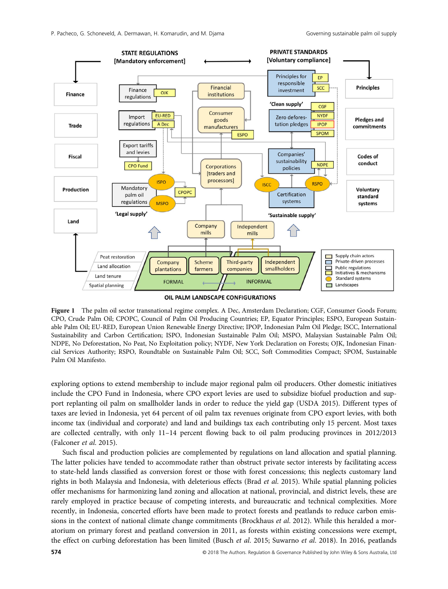

OIL PALM LANDSCAPE CONFIGURATIONS

Figure 1 The palm oil sector transnational regime complex. A Dec, Amsterdam Declaration; CGF, Consumer Goods Forum; CPO, Crude Palm Oil; CPOPC, Council of Palm Oil Producing Countries; EP, Equator Principles; ESPO, European Sustainable Palm Oil; EU-RED, European Union Renewable Energy Directive; IPOP, Indonesian Palm Oil Pledge; ISCC, International Sustainability and Carbon Certification; ISPO, Indonesian Sustainable Palm Oil; MSPO, Malaysian Sustainable Palm Oil; NDPE, No Deforestation, No Peat, No Exploitation policy; NYDF, New York Declaration on Forests; OJK, Indonesian Financial Services Authority; RSPO, Roundtable on Sustainable Palm Oil; SCC, Soft Commodities Compact; SPOM, Sustainable Palm Oil Manifesto.

exploring options to extend membership to include major regional palm oil producers. Other domestic initiatives include the CPO Fund in Indonesia, where CPO export levies are used to subsidize biofuel production and support replanting oil palm on smallholder lands in order to reduce the yield gap (USDA 2015). Different types of taxes are levied in Indonesia, yet 64 percent of oil palm tax revenues originate from CPO export levies, with both income tax (individual and corporate) and land and buildings tax each contributing only 15 percent. Most taxes are collected centrally, with only 11–14 percent flowing back to oil palm producing provinces in 2012/2013 (Falconer et al. 2015).

Such fiscal and production policies are complemented by regulations on land allocation and spatial planning. The latter policies have tended to accommodate rather than obstruct private sector interests by facilitating access to state-held lands classified as conversion forest or those with forest concessions; this neglects customary land rights in both Malaysia and Indonesia, with deleterious effects (Brad et al. 2015). While spatial planning policies offer mechanisms for harmonizing land zoning and allocation at national, provincial, and district levels, these are rarely employed in practice because of competing interests, and bureaucratic and technical complexities. More recently, in Indonesia, concerted efforts have been made to protect forests and peatlands to reduce carbon emissions in the context of national climate change commitments (Brockhaus et al. 2012). While this heralded a moratorium on primary forest and peatland conversion in 2011, as forests within existing concessions were exempt, the effect on curbing deforestation has been limited (Busch et al. 2015; Suwarno et al. 2018). In 2016, peatlands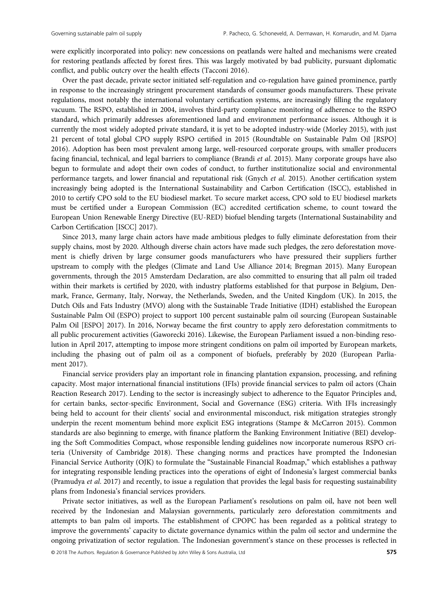were explicitly incorporated into policy: new concessions on peatlands were halted and mechanisms were created for restoring peatlands affected by forest fires. This was largely motivated by bad publicity, pursuant diplomatic conflict, and public outcry over the health effects (Tacconi 2016).

Over the past decade, private sector initiated self-regulation and co-regulation have gained prominence, partly in response to the increasingly stringent procurement standards of consumer goods manufacturers. These private regulations, most notably the international voluntary certification systems, are increasingly filling the regulatory vacuum. The RSPO, established in 2004, involves third-party compliance monitoring of adherence to the RSPO standard, which primarily addresses aforementioned land and environment performance issues. Although it is currently the most widely adopted private standard, it is yet to be adopted industry-wide (Morley 2015), with just 21 percent of total global CPO supply RSPO certified in 2015 (Roundtable on Sustainable Palm Oil [RSPO] 2016). Adoption has been most prevalent among large, well-resourced corporate groups, with smaller producers facing financial, technical, and legal barriers to compliance (Brandi et al. 2015). Many corporate groups have also begun to formulate and adopt their own codes of conduct, to further institutionalize social and environmental performance targets, and lower financial and reputational risk (Gnych et al. 2015). Another certification system increasingly being adopted is the International Sustainability and Carbon Certification (ISCC), established in 2010 to certify CPO sold to the EU biodiesel market. To secure market access, CPO sold to EU biodiesel markets must be certified under a European Commission (EC) accredited certification scheme, to count toward the European Union Renewable Energy Directive (EU-RED) biofuel blending targets (International Sustainability and Carbon Certification [ISCC] 2017).

Since 2013, many large chain actors have made ambitious pledges to fully eliminate deforestation from their supply chains, most by 2020. Although diverse chain actors have made such pledges, the zero deforestation movement is chiefly driven by large consumer goods manufacturers who have pressured their suppliers further upstream to comply with the pledges (Climate and Land Use Alliance 2014; Bregman 2015). Many European governments, through the 2015 Amsterdam Declaration, are also committed to ensuring that all palm oil traded within their markets is certified by 2020, with industry platforms established for that purpose in Belgium, Denmark, France, Germany, Italy, Norway, the Netherlands, Sweden, and the United Kingdom (UK). In 2015, the Dutch Oils and Fats Industry (MVO) along with the Sustainable Trade Initiative (IDH) established the European Sustainable Palm Oil (ESPO) project to support 100 percent sustainable palm oil sourcing (European Sustainable Palm Oil [ESPO] 2017). In 2016, Norway became the first country to apply zero deforestation commitments to all public procurement activities (Gaworecki 2016). Likewise, the European Parliament issued a non-binding resolution in April 2017, attempting to impose more stringent conditions on palm oil imported by European markets, including the phasing out of palm oil as a component of biofuels, preferably by 2020 (European Parliament 2017).

Financial service providers play an important role in financing plantation expansion, processing, and refining capacity. Most major international financial institutions (IFIs) provide financial services to palm oil actors (Chain Reaction Research 2017). Lending to the sector is increasingly subject to adherence to the Equator Principles and, for certain banks, sector-specific Environment, Social and Governance (ESG) criteria. With IFIs increasingly being held to account for their clients' social and environmental misconduct, risk mitigation strategies strongly underpin the recent momentum behind more explicit ESG integrations (Stampe & McCarron 2015). Common standards are also beginning to emerge, with finance platform the Banking Environment Initiative (BEI) developing the Soft Commodities Compact, whose responsible lending guidelines now incorporate numerous RSPO criteria (University of Cambridge 2018). These changing norms and practices have prompted the Indonesian Financial Service Authority (OJK) to formulate the "Sustainable Financial Roadmap," which establishes a pathway for integrating responsible lending practices into the operations of eight of Indonesia's largest commercial banks (Pramudya et al. 2017) and recently, to issue a regulation that provides the legal basis for requesting sustainability plans from Indonesia's financial services providers.

Private sector initiatives, as well as the European Parliament's resolutions on palm oil, have not been well received by the Indonesian and Malaysian governments, particularly zero deforestation commitments and attempts to ban palm oil imports. The establishment of CPOPC has been regarded as a political strategy to improve the governments' capacity to dictate governance dynamics within the palm oil sector and undermine the ongoing privatization of sector regulation. The Indonesian government's stance on these processes is reflected in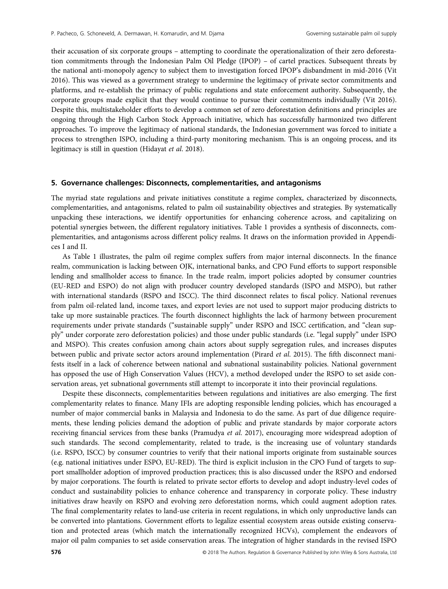their accusation of six corporate groups – attempting to coordinate the operationalization of their zero deforestation commitments through the Indonesian Palm Oil Pledge (IPOP) – of cartel practices. Subsequent threats by the national anti-monopoly agency to subject them to investigation forced IPOP's disbandment in mid-2016 (Vit 2016). This was viewed as a government strategy to undermine the legitimacy of private sector commitments and platforms, and re-establish the primacy of public regulations and state enforcement authority. Subsequently, the corporate groups made explicit that they would continue to pursue their commitments individually (Vit 2016). Despite this, multistakeholder efforts to develop a common set of zero deforestation definitions and principles are ongoing through the High Carbon Stock Approach initiative, which has successfully harmonized two different approaches. To improve the legitimacy of national standards, the Indonesian government was forced to initiate a process to strengthen ISPO, including a third-party monitoring mechanism. This is an ongoing process, and its legitimacy is still in question (Hidayat et al. 2018).

## 5. Governance challenges: Disconnects, complementarities, and antagonisms

The myriad state regulations and private initiatives constitute a regime complex, characterized by disconnects, complementarities, and antagonisms, related to palm oil sustainability objectives and strategies. By systematically unpacking these interactions, we identify opportunities for enhancing coherence across, and capitalizing on potential synergies between, the different regulatory initiatives. Table 1 provides a synthesis of disconnects, complementarities, and antagonisms across different policy realms. It draws on the information provided in Appendices I and II.

As Table 1 illustrates, the palm oil regime complex suffers from major internal disconnects. In the finance realm, communication is lacking between OJK, international banks, and CPO Fund efforts to support responsible lending and smallholder access to finance. In the trade realm, import policies adopted by consumer countries (EU-RED and ESPO) do not align with producer country developed standards (ISPO and MSPO), but rather with international standards (RSPO and ISCC). The third disconnect relates to fiscal policy. National revenues from palm oil-related land, income taxes, and export levies are not used to support major producing districts to take up more sustainable practices. The fourth disconnect highlights the lack of harmony between procurement requirements under private standards ("sustainable supply" under RSPO and ISCC certification, and "clean supply" under corporate zero deforestation policies) and those under public standards (i.e. "legal supply" under ISPO and MSPO). This creates confusion among chain actors about supply segregation rules, and increases disputes between public and private sector actors around implementation (Pirard et al. 2015). The fifth disconnect manifests itself in a lack of coherence between national and subnational sustainability policies. National government has opposed the use of High Conservation Values (HCV), a method developed under the RSPO to set aside conservation areas, yet subnational governments still attempt to incorporate it into their provincial regulations.

Despite these disconnects, complementarities between regulations and initiatives are also emerging. The first complementarity relates to finance. Many IFIs are adopting responsible lending policies, which has encouraged a number of major commercial banks in Malaysia and Indonesia to do the same. As part of due diligence requirements, these lending policies demand the adoption of public and private standards by major corporate actors receiving financial services from these banks (Pramudya et al. 2017), encouraging more widespread adoption of such standards. The second complementarity, related to trade, is the increasing use of voluntary standards (i.e. RSPO, ISCC) by consumer countries to verify that their national imports originate from sustainable sources (e.g. national initiatives under ESPO, EU-RED). The third is explicit inclusion in the CPO Fund of targets to support smallholder adoption of improved production practices; this is also discussed under the RSPO and endorsed by major corporations. The fourth is related to private sector efforts to develop and adopt industry-level codes of conduct and sustainability policies to enhance coherence and transparency in corporate policy. These industry initiatives draw heavily on RSPO and evolving zero deforestation norms, which could augment adoption rates. The final complementarity relates to land-use criteria in recent regulations, in which only unproductive lands can be converted into plantations. Government efforts to legalize essential ecosystem areas outside existing conservation and protected areas (which match the internationally recognized HCVs), complement the endeavors of major oil palm companies to set aside conservation areas. The integration of higher standards in the revised ISPO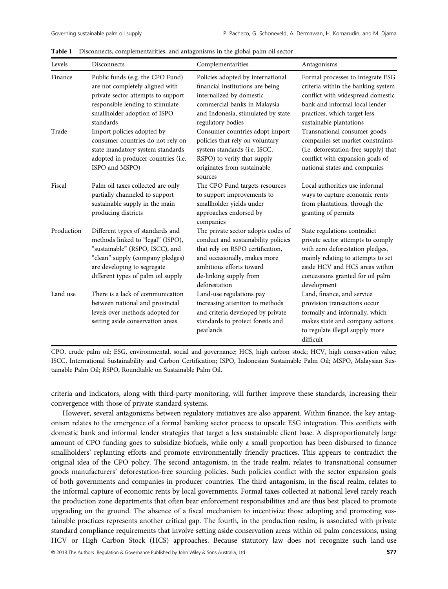| Levels     | Disconnects                                                                                                                                                                                                       | Complementarities                                                                                                                                                                                                    | Antagonisms                                                                                                                                                                                                                      |
|------------|-------------------------------------------------------------------------------------------------------------------------------------------------------------------------------------------------------------------|----------------------------------------------------------------------------------------------------------------------------------------------------------------------------------------------------------------------|----------------------------------------------------------------------------------------------------------------------------------------------------------------------------------------------------------------------------------|
| Finance    | Public funds (e.g. the CPO Fund)<br>are not completely aligned with<br>private sector attempts to support<br>responsible lending to stimulate<br>smallholder adoption of ISPO<br>standards                        | Policies adopted by international<br>financial institutions are being<br>internalized by domestic<br>commercial banks in Malaysia<br>and Indonesia, stimulated by state<br>regulatory bodies                         | Formal processes to integrate ESG<br>criteria within the banking system<br>conflict with widespread domestic<br>bank and informal local lender<br>practices, which target less<br>sustainable plantations                        |
| Trade      | Import policies adopted by<br>consumer countries do not rely on<br>state mandatory system standards<br>adopted in producer countries (i.e.<br>ISPO and MSPO)                                                      | Consumer countries adopt import<br>policies that rely on voluntary<br>system standards (i.e. ISCC,<br>RSPO) to verify that supply<br>originates from sustainable<br>sources                                          | Transnational consumer goods<br>companies set market constraints<br>(i.e. deforestation-free supply) that<br>conflict with expansion goals of<br>national states and companies                                                   |
| Fiscal     | Palm oil taxes collected are only<br>partially channeled to support<br>sustainable supply in the main<br>producing districts                                                                                      | The CPO Fund targets resources<br>to support improvements to<br>smallholder yields under<br>approaches endorsed by<br>companies                                                                                      | Local authorities use informal<br>ways to capture economic rents<br>from plantations, through the<br>granting of permits                                                                                                         |
| Production | Different types of standards and<br>methods linked to "legal" (ISPO),<br>"sustainable" (RSPO, ISCC), and<br>"clean" supply (company pledges)<br>are developing to segregate<br>different types of palm oil supply | The private sector adopts codes of<br>conduct and sustainability policies<br>that rely on RSPO certification,<br>and occasionally, makes more<br>ambitious efforts toward<br>de-linking supply from<br>deforestation | State regulations contradict<br>private sector attempts to comply<br>with zero deforestation pledges,<br>mainly relating to attempts to set<br>aside HCV and HCS areas within<br>concessions granted for oil palm<br>development |
| Land use   | There is a lack of communication<br>between national and provincial<br>levels over methods adopted for<br>setting aside conservation areas                                                                        | Land-use regulations pay<br>increasing attention to methods<br>and criteria developed by private<br>standards to protect forests and<br>peatlands                                                                    | Land, finance, and service<br>provision transactions occur<br>formally and informally, which<br>makes state and company actions<br>to regulate illegal supply more<br>difficult                                                  |

|  | Table 1 Disconnects, complementarities, and antagonisms in the global palm oil sector |  |  |  |  |
|--|---------------------------------------------------------------------------------------|--|--|--|--|
|--|---------------------------------------------------------------------------------------|--|--|--|--|

CPO, crude palm oil; ESG, environmental, social and governance; HCS, high carbon stock; HCV, high conservation value; ISCC, International Sustainability and Carbon Certification; ISPO, Indonesian Sustainable Palm Oil; MSPO, Malaysian Sustainable Palm Oil; RSPO, Roundtable on Sustainable Palm Oil.

criteria and indicators, along with third-party monitoring, will further improve these standards, increasing their convergence with those of private standard systems.

However, several antagonisms between regulatory initiatives are also apparent. Within finance, the key antagonism relates to the emergence of a formal banking sector process to upscale ESG integration. This conflicts with domestic bank and informal lender strategies that target a less sustainable client base. A disproportionately large amount of CPO funding goes to subsidize biofuels, while only a small proportion has been disbursed to finance smallholders' replanting efforts and promote environmentally friendly practices. This appears to contradict the original idea of the CPO policy. The second antagonism, in the trade realm, relates to transnational consumer goods manufacturers' deforestation-free sourcing policies. Such policies conflict with the sector expansion goals of both governments and companies in producer countries. The third antagonism, in the fiscal realm, relates to the informal capture of economic rents by local governments. Formal taxes collected at national level rarely reach the production zone departments that often bear enforcement responsibilities and are thus best placed to promote upgrading on the ground. The absence of a fiscal mechanism to incentivize those adopting and promoting sustainable practices represents another critical gap. The fourth, in the production realm, is associated with private standard compliance requirements that involve setting aside conservation areas within oil palm concessions, using HCV or High Carbon Stock (HCS) approaches. Because statutory law does not recognize such land-use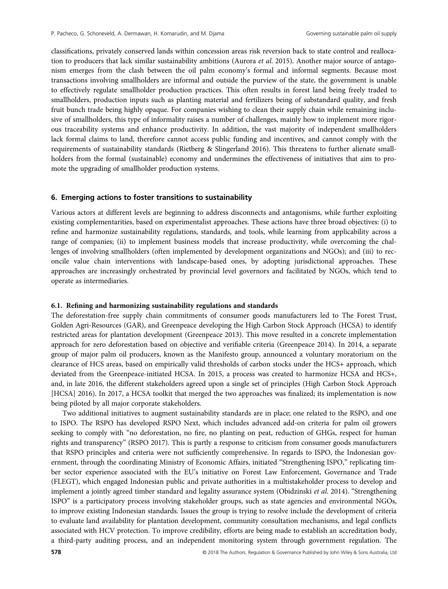classifications, privately conserved lands within concession areas risk reversion back to state control and reallocation to producers that lack similar sustainability ambitions (Aurora et al. 2015). Another major source of antagonism emerges from the clash between the oil palm economy's formal and informal segments. Because most transactions involving smallholders are informal and outside the purview of the state, the government is unable to effectively regulate smallholder production practices. This often results in forest land being freely traded to smallholders, production inputs such as planting material and fertilizers being of substandard quality, and fresh fruit bunch trade being highly opaque. For companies wishing to clean their supply chain while remaining inclusive of smallholders, this type of informality raises a number of challenges, mainly how to implement more rigorous traceability systems and enhance productivity. In addition, the vast majority of independent smallholders lack formal claims to land, therefore cannot access public funding and incentives, and cannot comply with the requirements of sustainability standards (Rietberg & Slingerland 2016). This threatens to further alienate smallholders from the formal (sustainable) economy and undermines the effectiveness of initiatives that aim to promote the upgrading of smallholder production systems.

#### 6. Emerging actions to foster transitions to sustainability

Various actors at different levels are beginning to address disconnects and antagonisms, while further exploiting existing complementarities, based on experimentalist approaches. These actions have three broad objectives: (i) to refine and harmonize sustainability regulations, standards, and tools, while learning from applicability across a range of companies; (ii) to implement business models that increase productivity, while overcoming the challenges of involving smallholders (often implemented by development organizations and NGOs); and (iii) to reconcile value chain interventions with landscape-based ones, by adopting jurisdictional approaches. These approaches are increasingly orchestrated by provincial level governors and facilitated by NGOs, which tend to operate as intermediaries.

#### 6.1. Refining and harmonizing sustainability regulations and standards

The deforestation-free supply chain commitments of consumer goods manufacturers led to The Forest Trust, Golden Agri-Resources (GAR), and Greenpeace developing the High Carbon Stock Approach (HCSA) to identify restricted areas for plantation development (Greenpeace 2013). This move resulted in a concrete implementation approach for zero deforestation based on objective and verifiable criteria (Greenpeace 2014). In 2014, a separate group of major palm oil producers, known as the Manifesto group, announced a voluntary moratorium on the clearance of HCS areas, based on empirically valid thresholds of carbon stocks under the HCS+ approach, which deviated from the Greenpeace-initiated HCSA. In 2015, a process was created to harmonize HCSA and HCS+, and, in late 2016, the different stakeholders agreed upon a single set of principles (High Carbon Stock Approach [HCSA] 2016). In 2017, a HCSA toolkit that merged the two approaches was finalized; its implementation is now being piloted by all major corporate stakeholders.

Two additional initiatives to augment sustainability standards are in place; one related to the RSPO, and one to ISPO. The RSPO has developed RSPO Next, which includes advanced add-on criteria for palm oil growers seeking to comply with "no deforestation, no fire, no planting on peat, reduction of GHGs, respect for human rights and transparency" (RSPO 2017). This is partly a response to criticism from consumer goods manufacturers that RSPO principles and criteria were not sufficiently comprehensive. In regards to ISPO, the Indonesian government, through the coordinating Ministry of Economic Affairs, initiated "Strengthening ISPO," replicating timber sector experience associated with the EU's initiative on Forest Law Enforcement, Governance and Trade (FLEGT), which engaged Indonesian public and private authorities in a multistakeholder process to develop and implement a jointly agreed timber standard and legality assurance system (Obidzinski et al. 2014). "Strengthening ISPO" is a participatory process involving stakeholder groups, such as state agencies and environmental NGOs, to improve existing Indonesian standards. Issues the group is trying to resolve include the development of criteria to evaluate land availability for plantation development, community consultation mechanisms, and legal conflicts associated with HCV protection. To improve credibility, efforts are being made to establish an accreditation body, a third-party auditing process, and an independent monitoring system through government regulation. The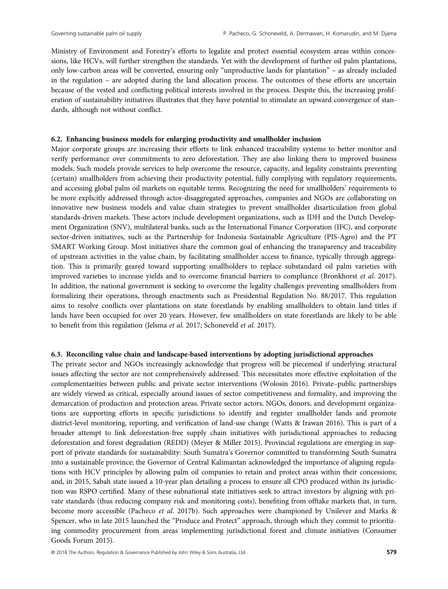Ministry of Environment and Forestry's efforts to legalize and protect essential ecosystem areas within concessions, like HCVs, will further strengthen the standards. Yet with the development of further oil palm plantations, only low-carbon areas will be converted, ensuring only "unproductive lands for plantation" – as already included in the regulation – are adopted during the land allocation process. The outcomes of these efforts are uncertain because of the vested and conflicting political interests involved in the process. Despite this, the increasing proliferation of sustainability initiatives illustrates that they have potential to stimulate an upward convergence of standards, although not without conflict.

## 6.2. Enhancing business models for enlarging productivity and smallholder inclusion

Major corporate groups are increasing their efforts to link enhanced traceability systems to better monitor and verify performance over commitments to zero deforestation. They are also linking them to improved business models. Such models provide services to help overcome the resource, capacity, and legality constraints preventing (certain) smallholders from achieving their productivity potential, fully complying with regulatory requirements, and accessing global palm oil markets on equitable terms. Recognizing the need for smallholders' requirements to be more explicitly addressed through actor-disaggregated approaches, companies and NGOs are collaborating on innovative new business models and value chain strategies to prevent smallholder disarticulation from global standards-driven markets. These actors include development organizations, such as IDH and the Dutch Development Organization (SNV), multilateral banks, such as the International Finance Corporation (IFC), and corporate sector-driven initiatives, such as the Partnership for Indonesia Sustainable Agriculture (PIS-Agro) and the PT SMART Working Group. Most initiatives share the common goal of enhancing the transparency and traceability of upstream activities in the value chain, by facilitating smallholder access to finance, typically through aggregation. This is primarily geared toward supporting smallholders to replace substandard oil palm varieties with improved varieties to increase yields and to overcome financial barriers to compliance (Bronkhorst et al. 2017). In addition, the national government is seeking to overcome the legality challenges preventing smallholders from formalizing their operations, through enactments such as Presidential Regulation No. 88/2017. This regulation aims to resolve conflicts over plantations on state forestlands by enabling smallholders to obtain land titles if lands have been occupied for over 20 years. However, few smallholders on state forestlands are likely to be able to benefit from this regulation (Jelsma et al. 2017; Schoneveld et al. 2017).

# 6.3. Reconciling value chain and landscape-based interventions by adopting jurisdictional approaches

The private sector and NGOs increasingly acknowledge that progress will be piecemeal if underlying structural issues affecting the sector are not comprehensively addressed. This necessitates more effective exploitation of the complementarities between public and private sector interventions (Wolosin 2016). Private–public partnerships are widely viewed as critical, especially around issues of sector competitiveness and formality, and improving the demarcation of production and protection areas. Private sector actors, NGOs, donors, and development organizations are supporting efforts in specific jurisdictions to identify and register smallholder lands and promote district-level monitoring, reporting, and verification of land-use change (Watts & Irawan 2016). This is part of a broader attempt to link deforestation-free supply chain initiatives with jurisdictional approaches to reducing deforestation and forest degradation (REDD) (Meyer & Miller 2015). Provincial regulations are emerging in support of private standards for sustainability: South Sumatra's Governor committed to transforming South Sumatra into a sustainable province; the Governor of Central Kalimantan acknowledged the importance of aligning regulations with HCV principles by allowing palm oil companies to retain and protect areas within their concessions; and, in 2015, Sabah state issued a 10-year plan detailing a process to ensure all CPO produced within its jurisdiction was RSPO certified. Many of these subnational state initiatives seek to attract investors by aligning with private standards (thus reducing company risk and monitoring costs), benefiting from offtake markets that, in turn, become more accessible (Pacheco et al. 2017b). Such approaches were championed by Unilever and Marks & Spencer, who in late 2015 launched the "Produce and Protect" approach, through which they commit to prioritizing commodity procurement from areas implementing jurisdictional forest and climate initiatives (Consumer Goods Forum 2015).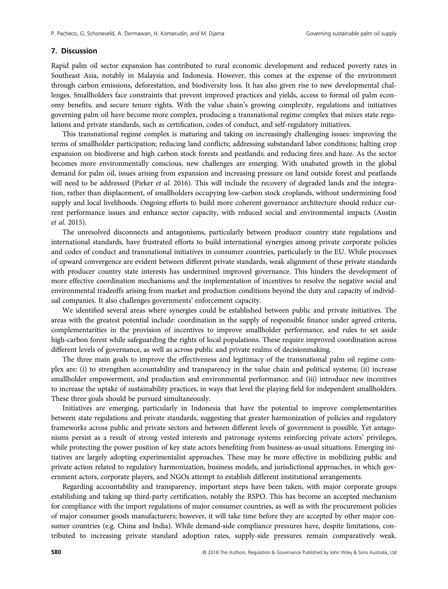## 7. Discussion

Rapid palm oil sector expansion has contributed to rural economic development and reduced poverty rates in Southeast Asia, notably in Malaysia and Indonesia. However, this comes at the expense of the environment through carbon emissions, deforestation, and biodiversity loss. It has also given rise to new developmental challenges. Smallholders face constraints that prevent improved practices and yields, access to formal oil palm economy benefits, and secure tenure rights. With the value chain's growing complexity, regulations and initiatives governing palm oil have become more complex, producing a transnational regime complex that mixes state regulations and private standards, such as certification, codes of conduct, and self-regulatory initiatives.

This transnational regime complex is maturing and taking on increasingly challenging issues: improving the terms of smallholder participation; reducing land conflicts; addressing substandard labor conditions; halting crop expansion on biodiverse and high carbon stock forests and peatlands; and reducing fires and haze. As the sector becomes more environmentally conscious, new challenges are emerging. With unabated growth in the global demand for palm oil, issues arising from expansion and increasing pressure on land outside forest and peatlands will need to be addressed (Pirker et al. 2016). This will include the recovery of degraded lands and the integration, rather than displacement, of smallholders occupying low-carbon stock croplands, without undermining food supply and local livelihoods. Ongoing efforts to build more coherent governance architecture should reduce current performance issues and enhance sector capacity, with reduced social and environmental impacts (Austin et al. 2015).

The unresolved disconnects and antagonisms, particularly between producer country state regulations and international standards, have frustrated efforts to build international synergies among private corporate policies and codes of conduct and transnational initiatives in consumer countries, particularly in the EU. While processes of upward convergence are evident between different private standards, weak alignment of these private standards with producer country state interests has undermined improved governance. This hinders the development of more effective coordination mechanisms and the implementation of incentives to resolve the negative social and environmental tradeoffs arising from market and production conditions beyond the duty and capacity of individual companies. It also challenges governments' enforcement capacity.

We identified several areas where synergies could be established between public and private initiatives. The areas with the greatest potential include: coordination in the supply of responsible finance under agreed criteria, complementarities in the provision of incentives to improve smallholder performance, and rules to set aside high-carbon forest while safeguarding the rights of local populations. These require improved coordination across different levels of governance, as well as across public and private realms of decisionmaking.

The three main goals to improve the effectiveness and legitimacy of the transnational palm oil regime complex are: (i) to strengthen accountability and transparency in the value chain and political systems; (ii) increase smallholder empowerment, and production and environmental performance; and (iii) introduce new incentives to increase the uptake of sustainability practices, in ways that level the playing field for independent smallholders. These three goals should be pursued simultaneously.

Initiatives are emerging, particularly in Indonesia that have the potential to improve complementarities between state regulations and private standards, suggesting that greater harmonization of policies and regulatory frameworks across public and private sectors and between different levels of government is possible. Yet antagonisms persist as a result of strong vested interests and patronage systems reinforcing private actors' privileges, while protecting the power position of key state actors benefiting from business-as-usual situations. Emerging initiatives are largely adopting experimentalist approaches. These may be more effective in mobilizing public and private action related to regulatory harmonization, business models, and jurisdictional approaches, in which government actors, corporate players, and NGOs attempt to establish different institutional arrangements.

Regarding accountability and transparency, important steps have been taken, with major corporate groups establishing and taking up third-party certification, notably the RSPO. This has become an accepted mechanism for compliance with the import regulations of major consumer countries, as well as with the procurement policies of major consumer goods manufacturers; however, it will take time before they are accepted by other major consumer countries (e.g. China and India). While demand-side compliance pressures have, despite limitations, contributed to increasing private standard adoption rates, supply-side pressures remain comparatively weak.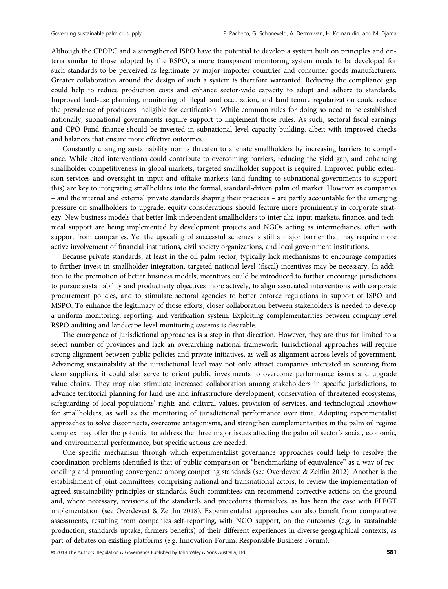Although the CPOPC and a strengthened ISPO have the potential to develop a system built on principles and criteria similar to those adopted by the RSPO, a more transparent monitoring system needs to be developed for such standards to be perceived as legitimate by major importer countries and consumer goods manufacturers. Greater collaboration around the design of such a system is therefore warranted. Reducing the compliance gap could help to reduce production costs and enhance sector-wide capacity to adopt and adhere to standards. Improved land-use planning, monitoring of illegal land occupation, and land tenure regularization could reduce the prevalence of producers ineligible for certification. While common rules for doing so need to be established nationally, subnational governments require support to implement those rules. As such, sectoral fiscal earnings and CPO Fund finance should be invested in subnational level capacity building, albeit with improved checks and balances that ensure more effective outcomes.

Constantly changing sustainability norms threaten to alienate smallholders by increasing barriers to compliance. While cited interventions could contribute to overcoming barriers, reducing the yield gap, and enhancing smallholder competitiveness in global markets, targeted smallholder support is required. Improved public extension services and oversight in input and offtake markets (and funding to subnational governments to support this) are key to integrating smallholders into the formal, standard-driven palm oil market. However as companies – and the internal and external private standards shaping their practices – are partly accountable for the emerging pressure on smallholders to upgrade, equity considerations should feature more prominently in corporate strategy. New business models that better link independent smallholders to inter alia input markets, finance, and technical support are being implemented by development projects and NGOs acting as intermediaries, often with support from companies. Yet the upscaling of successful schemes is still a major barrier that may require more active involvement of financial institutions, civil society organizations, and local government institutions.

Because private standards, at least in the oil palm sector, typically lack mechanisms to encourage companies to further invest in smallholder integration, targeted national-level (fiscal) incentives may be necessary. In addition to the promotion of better business models, incentives could be introduced to further encourage jurisdictions to pursue sustainability and productivity objectives more actively, to align associated interventions with corporate procurement policies, and to stimulate sectoral agencies to better enforce regulations in support of ISPO and MSPO. To enhance the legitimacy of those efforts, closer collaboration between stakeholders is needed to develop a uniform monitoring, reporting, and verification system. Exploiting complementarities between company-level RSPO auditing and landscape-level monitoring systems is desirable.

The emergence of jurisdictional approaches is a step in that direction. However, they are thus far limited to a select number of provinces and lack an overarching national framework. Jurisdictional approaches will require strong alignment between public policies and private initiatives, as well as alignment across levels of government. Advancing sustainability at the jurisdictional level may not only attract companies interested in sourcing from clean suppliers, it could also serve to orient public investments to overcome performance issues and upgrade value chains. They may also stimulate increased collaboration among stakeholders in specific jurisdictions, to advance territorial planning for land use and infrastructure development, conservation of threatened ecosystems, safeguarding of local populations' rights and cultural values, provision of services, and technological knowhow for smallholders, as well as the monitoring of jurisdictional performance over time. Adopting experimentalist approaches to solve disconnects, overcome antagonisms, and strengthen complementarities in the palm oil regime complex may offer the potential to address the three major issues affecting the palm oil sector's social, economic, and environmental performance, but specific actions are needed.

One specific mechanism through which experimentalist governance approaches could help to resolve the coordination problems identified is that of public comparison or "benchmarking of equivalence" as a way of reconciling and promoting convergence among competing standards (see Overdevest & Zeitlin 2012). Another is the establishment of joint committees, comprising national and transnational actors, to review the implementation of agreed sustainability principles or standards. Such committees can recommend corrective actions on the ground and, where necessary, revisions of the standards and procedures themselves, as has been the case with FLEGT implementation (see Overdevest & Zeitlin 2018). Experimentalist approaches can also benefit from comparative assessments, resulting from companies self-reporting, with NGO support, on the outcomes (e.g. in sustainable production, standards uptake, farmers benefits) of their different experiences in diverse geographical contexts, as part of debates on existing platforms (e.g. Innovation Forum, Responsible Business Forum).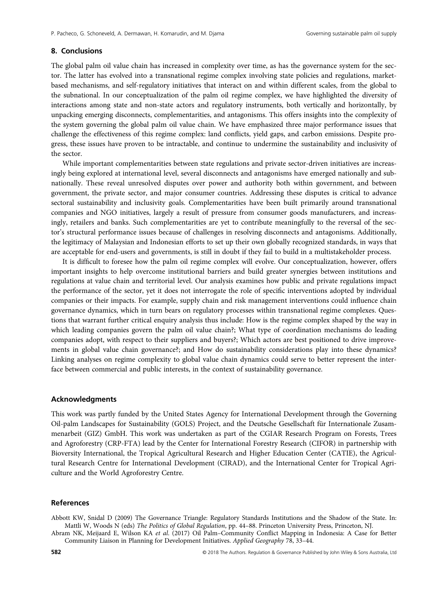## 8. Conclusions

The global palm oil value chain has increased in complexity over time, as has the governance system for the sector. The latter has evolved into a transnational regime complex involving state policies and regulations, marketbased mechanisms, and self-regulatory initiatives that interact on and within different scales, from the global to the subnational. In our conceptualization of the palm oil regime complex, we have highlighted the diversity of interactions among state and non-state actors and regulatory instruments, both vertically and horizontally, by unpacking emerging disconnects, complementarities, and antagonisms. This offers insights into the complexity of the system governing the global palm oil value chain. We have emphasized three major performance issues that challenge the effectiveness of this regime complex: land conflicts, yield gaps, and carbon emissions. Despite progress, these issues have proven to be intractable, and continue to undermine the sustainability and inclusivity of the sector.

While important complementarities between state regulations and private sector-driven initiatives are increasingly being explored at international level, several disconnects and antagonisms have emerged nationally and subnationally. These reveal unresolved disputes over power and authority both within government, and between government, the private sector, and major consumer countries. Addressing these disputes is critical to advance sectoral sustainability and inclusivity goals. Complementarities have been built primarily around transnational companies and NGO initiatives, largely a result of pressure from consumer goods manufacturers, and increasingly, retailers and banks. Such complementarities are yet to contribute meaningfully to the reversal of the sector's structural performance issues because of challenges in resolving disconnects and antagonisms. Additionally, the legitimacy of Malaysian and Indonesian efforts to set up their own globally recognized standards, in ways that are acceptable for end-users and governments, is still in doubt if they fail to build in a multistakeholder process.

It is difficult to foresee how the palm oil regime complex will evolve. Our conceptualization, however, offers important insights to help overcome institutional barriers and build greater synergies between institutions and regulations at value chain and territorial level. Our analysis examines how public and private regulations impact the performance of the sector, yet it does not interrogate the role of specific interventions adopted by individual companies or their impacts. For example, supply chain and risk management interventions could influence chain governance dynamics, which in turn bears on regulatory processes within transnational regime complexes. Questions that warrant further critical enquiry analysis thus include: How is the regime complex shaped by the way in which leading companies govern the palm oil value chain?; What type of coordination mechanisms do leading companies adopt, with respect to their suppliers and buyers?; Which actors are best positioned to drive improvements in global value chain governance?; and How do sustainability considerations play into these dynamics? Linking analyses on regime complexity to global value chain dynamics could serve to better represent the interface between commercial and public interests, in the context of sustainability governance.

#### Acknowledgments

This work was partly funded by the United States Agency for International Development through the Governing Oil-palm Landscapes for Sustainability (GOLS) Project, and the Deutsche Gesellschaft für Internationale Zusammenarbeit (GIZ) GmbH. This work was undertaken as part of the CGIAR Research Program on Forests, Trees and Agroforestry (CRP-FTA) lead by the Center for International Forestry Research (CIFOR) in partnership with Bioversity International, the Tropical Agricultural Research and Higher Education Center (CATIE), the Agricultural Research Centre for International Development (CIRAD), and the International Center for Tropical Agriculture and the World Agroforestry Centre.

#### References

Abbott KW, Snidal D (2009) The Governance Triangle: Regulatory Standards Institutions and the Shadow of the State. In: Mattli W, Woods N (eds) The Politics of Global Regulation, pp. 44–88. Princeton University Press, Princeton, NJ.

Abram NK, Meijaard E, Wilson KA et al. (2017) Oil Palm–Community Conflict Mapping in Indonesia: A Case for Better Community Liaison in Planning for Development Initiatives. Applied Geography 78, 33–44.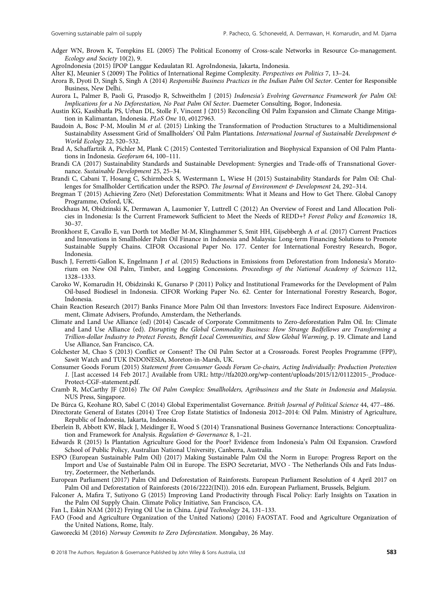- Adger WN, Brown K, Tompkins EL (2005) The Political Economy of Cross-scale Networks in Resource Co-management. Ecology and Society 10(2), 9.
- AgroIndonesia (2015) IPOP Langgar Kedaulatan RI. AgroIndonesia, Jakarta, Indonesia.
- Alter KJ, Meunier S (2009) The Politics of International Regime Complexity. Perspectives on Politics 7, 13–24.
- Arora B, Dyoti D, Singh S, Singh A (2014) Responsible Business Practices in the Indian Palm Oil Sector. Center for Responsible Business, New Delhi.
- Aurora L, Palmer B, Paoli G, Prasodjo R, Schweithelm J (2015) Indonesia's Evolving Governance Framework for Palm Oil: Implications for a No Deforestation, No Peat Palm Oil Sector. Daemeter Consulting, Bogor, Indonesia.
- Austin KG, Kasibhatla PS, Urban DL, Stolle F, Vincent J (2015) Reconciling Oil Palm Expansion and Climate Change Mitigation in Kalimantan, Indonesia. PLoS One 10, e0127963.
- Baudoin A, Bosc P-M, Moulin M et al. (2015) Linking the Transformation of Production Structures to a Multidimensional Sustainability Assessment Grid of Smallholders' Oil Palm Plantations. International Journal of Sustainable Development & World Ecology 22, 520–532.
- Brad A, Schaffartzik A, Pichler M, Plank C (2015) Contested Territorialization and Biophysical Expansion of Oil Palm Plantations in Indonesia. Geoforum 64, 100–111.
- Brandi CA (2017) Sustainability Standards and Sustainable Development: Synergies and Trade-offs of Transnational Governance. Sustainable Development 25, 25–34.
- Brandi C, Cabani T, Hosang C, Schirmbeck S, Westermann L, Wiese H (2015) Sustainability Standards for Palm Oil: Challenges for Smallholder Certification under the RSPO. The Journal of Environment & Development 24, 292-314.
- Bregman T (2015) Achieving Zero (Net) Deforestation Commitments: What it Means and How to Get There. Global Canopy Programme, Oxford, UK.
- Brockhaus M, Obidzinski K, Dermawan A, Laumonier Y, Luttrell C (2012) An Overview of Forest and Land Allocation Policies in Indonesia: Is the Current Framework Sufficient to Meet the Needs of REDD+? Forest Policy and Economics 18, 30–37.
- Bronkhorst E, Cavallo E, van Dorth tot Medler M-M, Klinghammer S, Smit HH, Gijsebbergh A et al. (2017) Current Practices and Innovations in Smallholder Palm Oil Finance in Indonesia and Malaysia: Long-term Financing Solutions to Promote Sustainable Supply Chains. CIFOR Occasional Paper No. 177. Center for International Forestry Research, Bogor, Indonesia.
- Busch J, Ferretti-Gallon K, Engelmann J et al. (2015) Reductions in Emissions from Deforestation from Indonesia's Moratorium on New Oil Palm, Timber, and Logging Concessions. Proceedings of the National Academy of Sciences 112, 1328–1333.
- Caroko W, Komarudin H, Obidzinski K, Gunarso P (2011) Policy and Institutional Frameworks for the Development of Palm Oil-based Biodiesel in Indonesia. CIFOR Working Paper No. 62. Center for International Forestry Research, Bogor, Indonesia.
- Chain Reaction Research (2017) Banks Finance More Palm Oil than Investors: Investors Face Indirect Exposure. Aidenvironment, Climate Advisers, Profundo, Amsterdam, the Netherlands.
- Climate and Land Use Alliance (ed) (2014) Cascade of Corporate Commitments to Zero-deforestation Palm Oil. In: Climate and Land Use Alliance (ed). Disrupting the Global Commodity Business: How Strange Bedfellows are Transforming a Trillion-dollar Industry to Protect Forests, Benefit Local Communities, and Slow Global Warming, p. 19. Climate and Land Use Alliance, San Francisco, CA.
- Colchester M, Chao S (2013) Conflict or Consent? The Oil Palm Sector at a Crossroads. Forest Peoples Programme (FPP), Sawit Watch and TUK INDONESIA, Moreton-in-Marsh, UK.
- Consumer Goods Forum (2015) Statement from Consumer Goods Forum Co-chairs, Acting Individually: Production Protection 1. [Last accessed 14 Feb 2017.] Available from URL: [http://tfa2020.org/wp-content/uploads/2015/12/01122015-\\_Produce-](http://tfa2020.org/wp-content/uploads/2015/12/01122015-_Produce-Protect-CGF-statement.pdf)[Protect-CGF-statement.pdf](http://tfa2020.org/wp-content/uploads/2015/12/01122015-_Produce-Protect-CGF-statement.pdf).
- Cramb R, McCarthy JF (2016) The Oil Palm Complex: Smallholders, Agribusiness and the State in Indonesia and Malaysia. NUS Press, Singapore.
- De Búrca G, Keohane RO, Sabel C (2014) Global Experimentalist Governance. British Journal of Political Science 44, 477–486.
- Directorate General of Estates (2014) Tree Crop Estate Statistics of Indonesia 2012–2014: Oil Palm. Ministry of Agriculture, Republic of Indonesia, Jakarta, Indonesia.
- Eberlein B, Abbott KW, Black J, Meidinger E, Wood S (2014) Transnational Business Governance Interactions: Conceptualization and Framework for Analysis. Regulation  $\mathcal O$  Governance 8, 1-21.
- Edwards R (2015) Is Plantation Agriculture Good for the Poor? Evidence from Indonesia's Palm Oil Expansion. Crawford School of Public Policy, Australian National University, Canberra, Australia.
- ESPO (European Sustainable Palm Oil) (2017) Making Sustainable Palm Oil the Norm in Europe: Progress Report on the Import and Use of Sustainable Palm Oil in Europe. The ESPO Secretariat, MVO - The Netherlands Oils and Fats Industry, Zoetermeer, the Netherlands.
- European Parliament (2017) Palm Oil and Deforestation of Rainforests. European Parliament Resolution of 4 April 2017 on Palm Oil and Deforestation of Rainforests (2016/2222(INI)). 2016 edn. European Parliament, Brussels, Belgium.
- Falconer A, Mafira T, Sutiyono G (2015) Improving Land Productivity through Fiscal Policy: Early Insights on Taxation in the Palm Oil Supply Chain. Climate Policy Initiative, San Francisco, CA.
- Fan L, Eskin NAM (2012) Frying Oil Use in China. Lipid Technology 24, 131–133.
- FAO (Food and Agriculture Organization of the United Nations) (2016) FAOSTAT. Food and Agriculture Organization of the United Nations, Rome, Italy.
- Gaworecki M (2016) Norway Commits to Zero Deforestation. Mongabay, 26 May.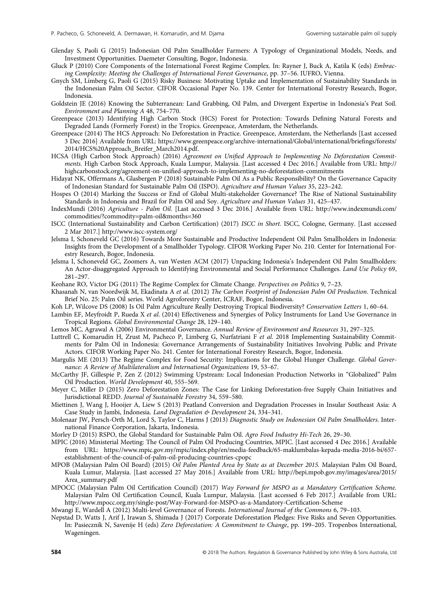- Glenday S, Paoli G (2015) Indonesian Oil Palm Smallholder Farmers: A Typology of Organizational Models, Needs, and Investment Opportunities. Daemeter Consulting, Bogor, Indonesia.
- Gluck P (2010) Core Components of the International Forest Regime Complex. In: Rayner J, Buck A, Katila K (eds) Embracing Complexity: Meeting the Challenges of International Forest Governance, pp. 37–56. IUFRO, Vienna.
- Gnych SM, Limberg G, Paoli G (2015) Risky Business: Motivating Uptake and Implementation of Sustainability Standards in the Indonesian Palm Oil Sector. CIFOR Occasional Paper No. 139. Center for International Forestry Research, Bogor, Indonesia.
- Goldstein JE (2016) Knowing the Subterranean: Land Grabbing, Oil Palm, and Divergent Expertise in Indonesia's Peat Soil. Environment and Planning A 48, 754–770.
- Greenpeace (2013) Identifying High Carbon Stock (HCS) Forest for Protection: Towards Defining Natural Forests and Degraded Lands (Formerly Forest) in the Tropics. Greenpeace, Amsterdam, the Netherlands.
- Greenpeace (2014) The HCS Approach: No Deforestation in Practice. Greenpeace, Amsterdam, the Netherlands [Last accessed 3 Dec 2016] Available from URL: [https://www.greenpeace.org/archive-international/Global/international/brie](https://www.greenpeace.org/archive-international/Global/international/briefings/forests/2014/HCS%20Approach_Breifer_March2014.pdf)fings/forests/ [2014/HCS%20Approach\\_Breifer\\_March2014.pdf](https://www.greenpeace.org/archive-international/Global/international/briefings/forests/2014/HCS%20Approach_Breifer_March2014.pdf).
- HCSA (High Carbon Stock Approach) (2016) Agreement on Unified Approach to Implementing No Deforestation Commitments. High Carbon Stock Approach, Kuala Lumpur, Malaysia. [Last accessed 4 Dec 2016.] Available from URL: [http://](http://highcarbonstock.org/agreement-on-unified-approach-to-implementing-no-deforestation-commitments) highcarbonstock.org/agreement-on-unifi[ed-approach-to-implementing-no-deforestation-commitments](http://highcarbonstock.org/agreement-on-unified-approach-to-implementing-no-deforestation-commitments)
- Hidayat NK, Offermans A, Glasbergen P (2018) Sustainable Palm Oil As a Public Responsibility? On the Governance Capacity of Indonesian Standard for Sustainable Palm Oil (ISPO). Agriculture and Human Values 35, 223–242.
- Hospes O (2014) Marking the Success or End of Global Multi-stakeholder Governance? The Rise of National Sustainability Standards in Indonesia and Brazil for Palm Oil and Soy. Agriculture and Human Values 31, 425–437.
- IndexMundi (2016) Agriculture Palm Oil. [Last accessed 3 Dec 2016.] Available from URL: [http://www.indexmundi.com/](http://www.indexmundi.com/commodities/?commodity=palm-oil&months=360) [commodities/?commodity=palm-oil&months=360](http://www.indexmundi.com/commodities/?commodity=palm-oil&months=360)
- ISCC (International Sustainability and Carbon Certification) (2017) ISCC in Short. ISCC, Cologne, Germany. [Last accessed 2 Mar 2017.]<http://www.iscc-system.org>/
- Jelsma I, Schoneveld GC (2016) Towards More Sustainable and Productive Independent Oil Palm Smallholders in Indonesia: Insights from the Development of a Smallholder Typology. CIFOR Working Paper No. 210. Center for International Forestry Research, Bogor, Indonesia.
- Jelsma I, Schoneveld GC, Zoomers A, van Westen ACM (2017) Unpacking Indonesia's Independent Oil Palm Smallholders: An Actor-disaggregated Approach to Identifying Environmental and Social Performance Challenges. Land Use Policy 69, 281–297.
- Keohane RO, Victor DG (2011) The Regime Complex for Climate Change. Perspectives on Politics 9, 7–23.
- Khasanah N, van Noordwijk M, Ekadinata A et al. (2012) The Carbon Footprint of Indonesian Palm Oil Production. Technical Brief No. 25: Palm Oil series. World Agroforestry Center, ICRAF, Bogor, Indonesia.
- Koh LP, Wilcove DS (2008) Is Oil Palm Agriculture Really Destroying Tropical Biodiversity? Conservation Letters 1, 60–64.
- Lambin EF, Meyfroidt P, Rueda X et al. (2014) Effectiveness and Synergies of Policy Instruments for Land Use Governance in Tropical Regions. Global Environmental Change 28, 129–140.
- Lemos MC, Agrawal A (2006) Environmental Governance. Annual Review of Environment and Resources 31, 297–325.
- Luttrell C, Komarudin H, Zrust M, Pacheco P, Limberg G, Nurfatriani F et al. 2018 Implementing Sustainability Commitments for Palm Oil in Indonesia: Governance Arrangements of Sustainability Initiatives Involving Public and Private Actors. CIFOR Working Paper No. 241. Center for International Forestry Research, Bogor, Indonesia.
- Margulis ME (2013) The Regime Complex for Food Security: Implications for the Global Hunger Challenge. Global Governance: A Review of Multilateralism and International Organizations 19, 53–67.
- McCarthy JF, Gillespie P, Zen Z (2012) Swimming Upstream: Local Indonesian Production Networks in "Globalized" Palm Oil Production. World Development 40, 555–569.
- Meyer C, Miller D (2015) Zero Deforestation Zones: The Case for Linking Deforestation-free Supply Chain Initiatives and Jurisdictional REDD. Journal of Sustainable Forestry 34, 559–580.
- Miettinen J, Wang J, Hooijer A, Liew S (2013) Peatland Conversion and Degradation Processes in Insular Southeast Asia: A Case Study in Jambi, Indonesia. Land Degradation & Development 24, 334–341.
- Molenaar JW, Persch-Orth M, Lord S, Taylor C, Harms J (2013) Diagnostic Study on Indonesian Oil Palm Smallholders. International Finance Corporation, Jakarta, Indonesia.
- Morley D (2015) RSPO, the Global Standard for Sustainable Palm Oil. Agro Food Industry Hi-Tech 26, 29–30.
- MPIC (2016) Ministerial Meeting: The Council of Palm Oil Producing Countries, MPIC. [Last accessed 4 Dec 2016.] Available from URL: [https://www.mpic.gov.my/mpic/index.php/en/media-feedback/65-maklumbalas-kepada-media-2016-bi/657](https://www.mpic.gov.my/mpic/index.php/en/media-feedback/65-maklumbalas-kepada-media-2016-bi/657-establishment-of-the-council-of-palm-oil-producing-countries-cpopc) [establishment-of-the-council-of-palm-oil-producing-countries-cpopc](https://www.mpic.gov.my/mpic/index.php/en/media-feedback/65-maklumbalas-kepada-media-2016-bi/657-establishment-of-the-council-of-palm-oil-producing-countries-cpopc)
- MPOB (Malaysian Palm Oil Board) (2015) Oil Palm Planted Area by State as at December 2015. Malaysian Palm Oil Board, Kuala Lumur, Malaysia. [Last accessed 27 May 2016.] Available from URL: [http://bepi.mpob.gov.my/images/area/2015/](http://bepi.mpob.gov.my/images/area/2015/Area_summary.pdf) [Area\\_summary.pdf](http://bepi.mpob.gov.my/images/area/2015/Area_summary.pdf)
- MPOCC (Malaysian Palm Oil Certification Council) (2017) Way Forward for MSPO as a Mandatory Certification Scheme. Malaysian Palm Oil Certification Council, Kuala Lumpur, Malaysia. [Last accessed 6 Feb 2017.] Available from URL: [http://www.mpocc.org.my/single-post/Way-Forward-for-MSPO-as-a-Mandatory-Certi](http://www.mpocc.org.my/single-post/Way-Forward-for-MSPO-as-a-Mandatory-Certification-Scheme)fication-Scheme

Mwangi E, Wardell A (2012) Multi-level Governance of Forests. International Journal of the Commons 6, 79–103.

Nepstad D, Watts J, Arif J, Irawan S, Shimada J (2017) Corporate Deforestation Pledges: Five Risks and Seven Opportunities. In: Pasiecznik N, Savenije H (eds) Zero Deforestation: A Commitment to Change, pp. 199–205. Tropenbos International, Wageningen.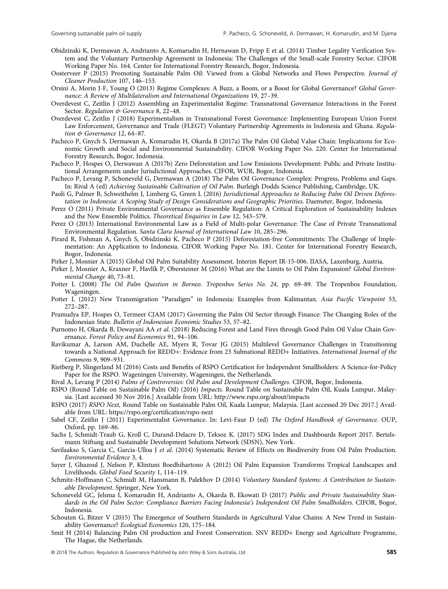- Obidzinski K, Dermawan A, Andrianto A, Komarudin H, Hernawan D, Fripp E et al. (2014) Timber Legality Verification System and the Voluntary Partnership Agreement in Indonesia: The Challenges of the Small-scale Forestry Sector. CIFOR Working Paper No. 164. Center for International Forestry Research, Bogor, Indonesia.
- Oosterveer P (2015) Promoting Sustainable Palm Oil: Viewed from a Global Networks and Flows Perspective. Journal of Cleaner Production 107, 146–153.
- Orsini A, Morin J-F, Young O (2013) Regime Complexes: A Buzz, a Boom, or a Boost for Global Governance? Global Governance: A Review of Multilateralism and International Organizations 19, 27–39.
- Overdevest C, Zeitlin J (2012) Assembling an Experimentalist Regime: Transnational Governance Interactions in the Forest Sector. Regulation & Governance 8, 22-48.
- Overdevest C, Zeitlin J (2018) Experimentalism in Transnational Forest Governance: Implementing European Union Forest Law Enforcement, Governance and Trade (FLEGT) Voluntary Partnership Agreements in Indonesia and Ghana. Regulation & Governance 12, 64-87.
- Pacheco P, Gnych S, Dermawan A, Komarudin H, Okarda B (2017a) The Palm Oil Global Value Chain: Implications for Economic Growth and Social and Environmental Sustainability. CIFOR Working Paper No. 220. Center for International Forestry Research, Bogor, Indonesia.
- Pacheco P, Hospes O, Derwawan A (2017b) Zero Deforestation and Low Emissions Development: Public and Private Institutional Arrangements under Jurisdictional Approaches. CIFOR, WUR, Bogor, Indonesia.
- Pacheco P, Levang P, Schoneveld G, Dermawan A (2018) The Palm Oil Governance Complex: Progress, Problems and Gaps. In: Rival A (ed) Achieving Sustainable Cultivation of Oil Palm. Burleigh Dodds Science Publishing, Cambridge, UK.
- Paoli G, Palmer B, Schweithelm J, Limberg G, Green L (2016) Jurisdictional Approaches to Reducing Palm Oil Driven Deforestation in Indonesia: A Scoping Study of Design Considerations and Geographic Priorities. Daemeter, Bogor, Indonesia.
- Perez O (2011) Private Environmental Governance as Ensemble Regulation: A Critical Exploration of Sustainability Indexes and the New Ensemble Politics. Theoretical Enquiries in Law 12, 543–579.
- Perez O (2013) International Environmental Law as a Field of Multi-polar Governance: The Case of Private Transnational Environmental Regulation. Santa Clara Journal of International Law 10, 285–296.
- Pirard R, Fishman A, Gnych S, Obidzinski K, Pacheco P (2015) Deforestation-free Commitments: The Challenge of Implementation: An Application to Indonesia. CIFOR Working Paper No. 181. Center for International Forestry Research, Bogor, Indonesia.
- Pirker J, Mosnier A (2015) Global Oil Palm Suitability Assessment. Interim Report IR-15-006. IIASA, Laxenburg, Austria.
- Pirker J, Mosnier A, Kraxner F, Havlík P, Obersteiner M (2016) What are the Limits to Oil Palm Expansion? Global Environmental Change 40, 73–81.
- Potter L (2008) The Oil Palm Question in Borneo. Tropenbos Series No. 24, pp. 69–89. The Tropenbos Foundation, Wageningen.
- Potter L (2012) New Transmigration "Paradigm" in Indonesia: Examples from Kalimantan. Asia Pacific Viewpoint 53, 272–287.
- Pramudya EP, Hospes O, Termeer CJAM (2017) Governing the Palm Oil Sector through Finance: The Changing Roles of the Indonesian State. Bulletin of Indonesian Economic Studies 53, 57–82.
- Purnomo H, Okarda B, Dewayani AA et al. (2018) Reducing Forest and Land Fires through Good Palm Oil Value Chain Governance. Forest Policy and Economics 91, 94–106.
- Ravikumar A, Larson AM, Duchelle AE, Myers R, Tovar JG (2015) Multilevel Governance Challenges in Transitioning towards a National Approach for REDD+: Evidence from 23 Subnational REDD+ Initiatives. International Journal of the Commons 9, 909–931.
- Rietberg P, Slingerland M (2016) Costs and Benefits of RSPO Certification for Independent Smallholders: A Science-for-Policy Paper for the RSPO. Wageningen University, Wageningen, the Netherlands.
- Rival A, Levang P (2014) Palms of Controversies: Oil Palm and Development Challenges. CIFOR, Bogor, Indonesia.
- RSPO (Round Table on Sustainable Palm Oil) (2016) Impacts. Round Table on Sustainable Palm Oil, Kuala Lumpur, Malaysia. [Last accessed 30 Nov 2016.] Available from URL:<http://www.rspo.org/about/impacts>
- RSPO (2017) RSPO Next, Round Table on Sustainable Palm Oil, Kuala Lumpur, Malaysia. [Last accessed 20 Dec 2017.] Available from URL: [https://rspo.org/certi](https://rspo.org/certification/rspo-next)fication/rspo-next
- Sabel CF, Zeitlin J (2011) Experimentalist Governance. In: Levi-Faur D (ed) The Oxford Handbook of Governance. OUP, Oxford, pp. 169–86.
- Sachs J, Schmidt-Traub G, Kroll C, Durand-Delacre D, Teksoz K. (2017) SDG Index and Dashboards Report 2017. Bertelsmann Stiftung and Sustainable Development Solutions Network (SDSN), New York.
- Savilaakso S, Garcia C, Garcia-Ulloa J et al. (2014) Systematic Review of Effects on Biodiversity from Oil Palm Production. Environmental Evidence 3, 4.
- Sayer J, Ghazoul J, Nelson P, Klintuni Boedhihartono A (2012) Oil Palm Expansion Transforms Tropical Landscapes and Livelihoods. Global Food Security 1, 114–119.
- Schmitz-Hoffmann C, Schmidt M, Hansmann B, Palekhov D (2014) Voluntary Standard Systems: A Contribution to Sustainable Development. Springer, New York.
- Schoneveld GC, Jelsma I, Komarudin H, Andrianto A, Okarda B, Ekowati D (2017) Public and Private Sustainability Standards in the Oil Palm Sector: Compliance Barriers Facing Indonesia's Independent Oil Palm Smallholders. CIFOR, Bogor, Indonesia.
- Schouten G, Bitzer V (2015) The Emergence of Southern Standards in Agricultural Value Chains: A New Trend in Sustainability Governance? Ecological Economics 120, 175–184.
- Smit H (2014) Balancing Palm Oil production and Forest Conservation. SNV REDD+ Energy and Agriculture Programme, The Hague, the Netherlands.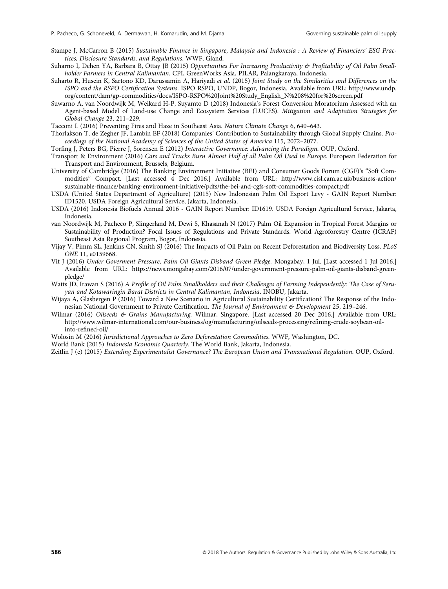- Stampe J, McCarron B (2015) Sustainable Finance in Singapore, Malaysia and Indonesia : A Review of Financiers' ESG Practices, Disclosure Standards, and Regulations. WWF, Gland.
- Suharno I, Dehen YA, Barbara B, Ottay JB (2015) Opportunities For Increasing Productivity & Profitability of Oil Palm Smallholder Farmers in Central Kalimantan. CPI, GreenWorks Asia, PILAR, Palangkaraya, Indonesia.
- Suharto R, Husein K, Sartono KD, Darussamin A, Hariyadi et al. (2015) Joint Study on the Similarities and Differences on the ISPO and the RSPO Certification Systems. ISPO RSPO, UNDP, Bogor, Indonesia. Available from URL: [http://www.undp.](http://www.undp.org/content/dam/gp-commodities/docs/ISPO-RSPO%20Joint%20Study_English_N%208%20for%20screen.pdf) [org/content/dam/gp-commodities/docs/ISPO-RSPO%20Joint%20Study\\_English\\_N%208%20for%20screen.pdf](http://www.undp.org/content/dam/gp-commodities/docs/ISPO-RSPO%20Joint%20Study_English_N%208%20for%20screen.pdf)
- Suwarno A, van Noordwijk M, Weikard H-P, Suyamto D (2018) Indonesia's Forest Conversion Moratorium Assessed with an Agent-based Model of Land-use Change and Ecosystem Services (LUCES). Mitigation and Adaptation Strategies for Global Change 23, 211–229.

Tacconi L (2016) Preventing Fires and Haze in Southeast Asia. Nature Climate Change 6, 640–643.

- Thorlakson T, de Zegher JF, Lambin EF (2018) Companies' Contribution to Sustainability through Global Supply Chains. Proceedings of the National Academy of Sciences of the United States of America 115, 2072–2077.
- Torfing J, Peters BG, Pierre J, Sorensen E (2012) Interactive Governance: Advancing the Paradigm. OUP, Oxford.
- Transport & Environment (2016) Cars and Trucks Burn Almost Half of all Palm Oil Used in Europe. European Federation for Transport and Environment, Brussels, Belgium.
- University of Cambridge (2016) The Banking Environment Initiative (BEI) and Consumer Goods Forum (CGF)'s "Soft Commodities" Compact. [Last accessed 4 Dec 2016.] Available from URL: [http://www.cisl.cam.ac.uk/business-action/](http://www.cisl.cam.ac.uk/business-action/sustainable-finance/banking-environment-initiative/pdfs/the-bei-and-cgfs-soft-commodities-compact.pdf) sustainable-fi[nance/banking-environment-initiative/pdfs/the-bei-and-cgfs-soft-commodities-compact.pdf](http://www.cisl.cam.ac.uk/business-action/sustainable-finance/banking-environment-initiative/pdfs/the-bei-and-cgfs-soft-commodities-compact.pdf)
- USDA (United States Department of Agriculture) (2015) New Indonesian Palm Oil Export Levy GAIN Report Number: ID1520. USDA Foreign Agricultural Service, Jakarta, Indonesia.
- USDA (2016) Indonesia Biofuels Annual 2016 GAIN Report Number: ID1619. USDA Foreign Agricultural Service, Jakarta, Indonesia.
- van Noordwijk M, Pacheco P, Slingerland M, Dewi S, Khasanah N (2017) Palm Oil Expansion in Tropical Forest Margins or Sustainability of Production? Focal Issues of Regulations and Private Standards. World Agroforestry Centre (ICRAF) Southeast Asia Regional Program, Bogor, Indonesia.
- Vijay V, Pimm SL, Jenkins CN, Smith SJ (2016) The Impacts of Oil Palm on Recent Deforestation and Biodiversity Loss. PLoS ONE 11, e0159668.
- Vit J (2016) Under Goverment Pressure, Palm Oil Giants Disband Green Pledge. Mongabay, 1 Jul. [Last accessed 1 Jul 2016.] Available from URL: [https://news.mongabay.com/2016/07/under-government-pressure-palm-oil-giants-disband-green](https://news.mongabay.com/2016/07/under-government-pressure-palm-oil-giants-disband-green-pledge)[pledge/](https://news.mongabay.com/2016/07/under-government-pressure-palm-oil-giants-disband-green-pledge)
- Watts JD, Irawan S (2016) A Profile of Oil Palm Smallholders and their Challenges of Farming Independently: The Case of Seruyan and Kotawaringin Barat Districts in Central Kalimantan, Indonesia. INOBU, Jakarta.
- Wijaya A, Glasbergen P (2016) Toward a New Scenario in Agricultural Sustainability Certification? The Response of the Indonesian National Government to Private Certification. The Journal of Environment & Development 25, 219–246.
- Wilmar (2016) Oilseeds & Grains Manufacturing. Wilmar, Singapore. [Last accessed 20 Dec 2016.] Available from URL: [http://www.wilmar-international.com/our-business/og/manufacturing/oilseeds-processing/re](http://www.wilmar-international.com/our-business/og/manufacturing/oilseeds-processing/refining-crude-soybean-oil-into-refined-oil)fining-crude-soybean-oilinto-refi[ned-oil/](http://www.wilmar-international.com/our-business/og/manufacturing/oilseeds-processing/refining-crude-soybean-oil-into-refined-oil)

Wolosin M (2016) Jurisdictional Approaches to Zero Deforestation Commodities. WWF, Washington, DC.

- World Bank (2015) Indonesia Economic Quarterly. The World Bank, Jakarta, Indonesia.
- Zeitlin J (e) (2015) Extending Experimentalist Governance? The European Union and Transnational Regulation. OUP, Oxford.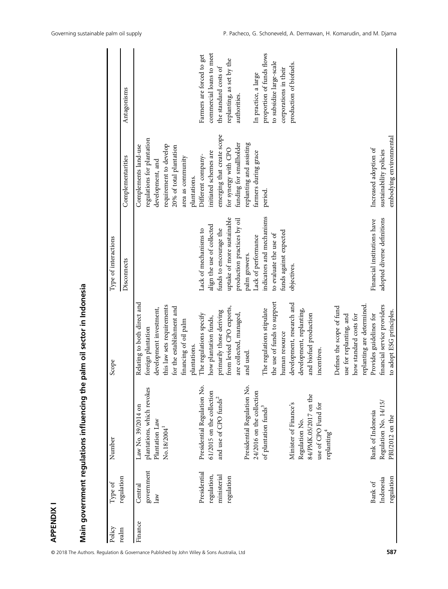| Policy  | Type of               | Number                                           | Scope                                              | Type of interactions        |                                                    |                           |
|---------|-----------------------|--------------------------------------------------|----------------------------------------------------|-----------------------------|----------------------------------------------------|---------------------------|
| realm   | regulation            |                                                  |                                                    | Disconnects                 | Complementarities                                  | Antagonisms               |
| Finance | government<br>Central | plantations, which revokes<br>Law No. 39/2014 on | Relating to both direct and<br>foreign plantation  |                             | regulations for plantation<br>Complements land-use |                           |
|         | $\mathbf{a}$          | Plantation Law                                   | development investment,                            |                             | development, and                                   |                           |
|         |                       | No.18/2004 <sup>1</sup>                          | this law sets requirements                         |                             | requirement to develop                             |                           |
|         |                       |                                                  | for the establishment and<br>financing of oil palm |                             | 20% of total plantation<br>area as community       |                           |
|         |                       |                                                  | plantations.                                       |                             | plantations.                                       |                           |
|         | Presidential          | Presidential Regulation No.                      | The regulations specify                            | Lack of mechanisms to       | Different company-                                 | Farmers are forced to get |
|         | regulation,           | 61/2015 on the collection                        | how plantation funds,                              | align the use of collected  | initiated schemes are                              | commercial loans to meet  |
|         | ministerial           | and use of CPO funds <sup>2</sup>                | primarily those deriving                           | funds to encourage the      | emerging that create scope                         | the standard costs of     |
|         | regulation            |                                                  | from levied CPO exports,                           | uptake of more sustainable  | for synergy with CPO                               | replanting, as set by the |
|         |                       |                                                  | are collected, managed,                            | production practices by oil | funding for smallholder                            | authorities.              |
|         |                       | Presidential Regulation No.                      | and used.                                          | palm growers.               | replanting and assisting                           |                           |
|         |                       | 24/2016 on the collection                        |                                                    | Lack of performance         | farmers during grace                               | In practice, a large      |
|         |                       | of plantation funds <sup>3</sup>                 | The regulations stipulate                          | indicators and mechanisms   | period.                                            | proportion of funds flows |
|         |                       |                                                  | the use of funds to support                        | to evaluate the use of      |                                                    | to subsidize large-scale  |
|         |                       |                                                  | human resource                                     | funds against expected      |                                                    | corporations in their     |
|         |                       | Minister of Finance's                            | development, research and                          | objectives.                 |                                                    | production of biofuels.   |
|         |                       | Regulation No.                                   | development, replanting,                           |                             |                                                    |                           |
|         |                       | 84/PMK.05/2017 on the                            | and biofuel production                             |                             |                                                    |                           |
|         |                       | use of CPO Fund for                              | incentives.                                        |                             |                                                    |                           |
|         |                       | replanting <sup>4</sup>                          |                                                    |                             |                                                    |                           |
|         |                       |                                                  | Defines the scope of fund                          |                             |                                                    |                           |
|         |                       |                                                  | use for replanting, and                            |                             |                                                    |                           |
|         |                       |                                                  | how standard costs for                             |                             |                                                    |                           |
|         |                       |                                                  | replanting are determined.                         |                             |                                                    |                           |
|         | Bank of               | Bank of Indonesia                                | Provides guidelines for                            | Financial institutions have | Increased adoption of                              |                           |
|         | Indonesia             | Regulation No. 14/15/                            | financial service providers                        | adopted diverse definitions | sustainability policies                            |                           |
|         | regulation            | PBI/2012 on the                                  | to adopt ESG principles.                           |                             | embodying environmental                            |                           |

© 2018 The Authors. Regulation & Governance Published by John Wiley & Sons Australia, Ltd 587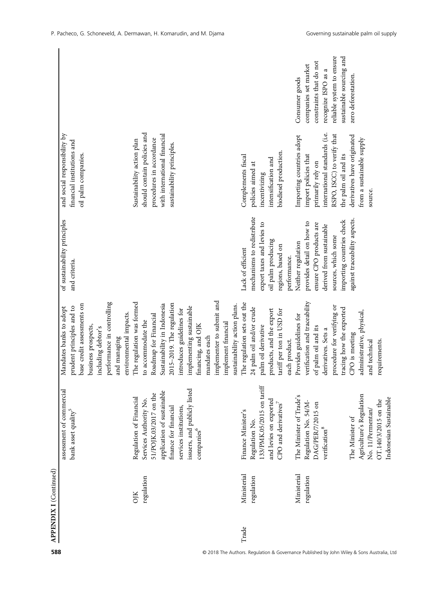|       | APPENDIX I (Continued)    |                                                                                                                                                                                                                    |                                                                                                                                                                                                                                                                                          |                                                                                                                                                            |                                                                                                                                                               |                                                                                                                                                   |
|-------|---------------------------|--------------------------------------------------------------------------------------------------------------------------------------------------------------------------------------------------------------------|------------------------------------------------------------------------------------------------------------------------------------------------------------------------------------------------------------------------------------------------------------------------------------------|------------------------------------------------------------------------------------------------------------------------------------------------------------|---------------------------------------------------------------------------------------------------------------------------------------------------------------|---------------------------------------------------------------------------------------------------------------------------------------------------|
|       |                           | assessment of commercial<br>bank asset quality <sup>5</sup>                                                                                                                                                        | performance in controlling<br>base credit assessments on<br>prudent principles and to<br>Mandates banks to adopt<br>environmental impacts.<br>business prospects,<br>including debtor's<br>and managing                                                                                  | of sustainability principles<br>and criteria.                                                                                                              | and social responsibility by<br>financial institutions and<br>oil palm companies.                                                                             |                                                                                                                                                   |
|       | regulation<br><b>OJK</b>  | issuers, and publicly listed<br>application of sustainable<br>51/POJK.03/2017 on the<br>Regulation of Financial<br>Services Authority No.<br>finance for financial<br>services institutions,<br>$\rm{companies}^6$ | implementer to submit and<br>The regulation was formed<br>Sustainability in Indonesia<br>2015-2019. The regulation<br>implementing sustainable<br>introduces guidelines for<br>Roadmap for Financial<br>to accommodate the<br>implement financial<br>financing, and OJK<br>mandates each |                                                                                                                                                            | should contain policies and<br>with international financial<br>procedures in accordance<br>Sustainability action plan<br>sustainability principles.           |                                                                                                                                                   |
| Trade | Ministerial<br>regulation | 133/PMK.05/2015 on tariff<br>and levies on exported<br>CPO and derivatives <sup>7</sup><br>Finance Minister's<br>Regulation No.                                                                                    | The regulation sets out the<br>sustainability action plans.<br>24 palm oil and/or crude<br>tariff per ton in USD for<br>products, and the export<br>palm oil derivative<br>each product.                                                                                                 | mechanisms to redistribute<br>export taxes and levies to<br>oil palm producing<br>regions, based on<br>Lack of efficient<br>performance.                   | biodiesel production.<br>Complements fiscal<br>intensification and<br>$\vec{a}$<br>policies aimed<br>incentivizing                                            |                                                                                                                                                   |
|       | Ministerial<br>regulation | The Minister of Trade's<br>Regulation No. 54/M-<br>DAG/PER/7/2015 on<br>verification <sup>8</sup>                                                                                                                  | verification and traceability<br>procedure for verifying or<br>tracing how the exported<br>Provides guidelines for<br>of palm oil and its<br>derivatives. Sets a                                                                                                                         | importing countries check<br>provides detail on how to<br>ensure CPO products are<br>derived from sustainable<br>sources, which some<br>Neither regulation | international standards (i.e.<br>RSPO, ISCC) to verify that<br>Importing countries adopt<br>import policies that<br>the palm oil and its<br>primarily rely on | reliable system to ensure<br>sustainable sourcing and<br>constraints that do not<br>companies set market<br>recognize ISPO as a<br>Consumer goods |
|       |                           | Agriculture's Regulation<br>Indonesian Sustainable<br>OT.140/3/2015 on the<br>No. 11/Permentan/<br>The Minister of                                                                                                 | administrative, physical,<br>CPO is meeting<br>and technical<br>requirements.                                                                                                                                                                                                            | against traceability aspects.                                                                                                                              | derivatives have originated<br>from a sustainable supply<br>source.                                                                                           | zero deforestation                                                                                                                                |

588 © 2018 The Authors. Regulation & Governance Published by John Wiley & Sons Australia, Ltd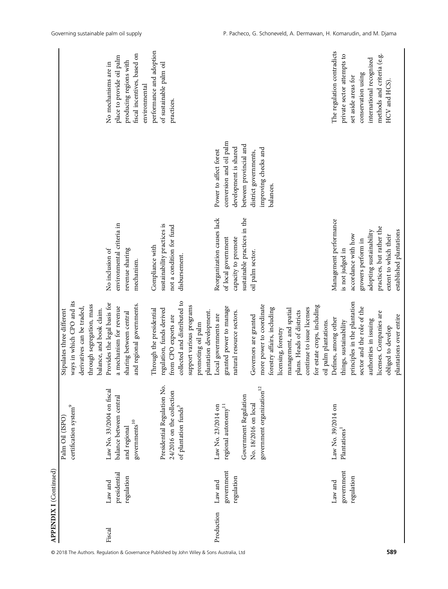|            | APPENDIX I (Continued)                |                                                                                                 |                                                                                                                                                                                                                                                 |                                                                                                                                                                          |                                                                                                      |                                                                                                                                                                                 |
|------------|---------------------------------------|-------------------------------------------------------------------------------------------------|-------------------------------------------------------------------------------------------------------------------------------------------------------------------------------------------------------------------------------------------------|--------------------------------------------------------------------------------------------------------------------------------------------------------------------------|------------------------------------------------------------------------------------------------------|---------------------------------------------------------------------------------------------------------------------------------------------------------------------------------|
|            |                                       | $\text{certification system}^9$<br>Palm Oil (ISPO)                                              | ways in which CPO and its<br>through segregation, mass<br>derivatives can be traded,<br>balance, and book claim.<br>Stipulates three different                                                                                                  |                                                                                                                                                                          |                                                                                                      |                                                                                                                                                                                 |
| Fiscal     | presidential<br>regulation<br>Law and | Law No. 33/2004 on fiscal<br>balance between central<br>governments $^{\rm 10}$<br>and regional | Provides the legal basis for<br>and regional governments.<br>a mechanism for revenue<br>sharing between central                                                                                                                                 | environmental criteria in<br>revenue sharing<br>No inclusion of<br>mechanism.                                                                                            |                                                                                                      | fiscal incentives, based on<br>place to provide oil palm<br>producing regions with<br>No mechanisms are in<br>environmental                                                     |
|            |                                       | Presidential Regulation No.<br>24/2016 on the collection<br>of plantation funds <sup>3</sup>    | collected and distributed to<br>support various programs<br>regulation, funds derived<br>Through the presidential<br>plantation development.<br>from CPO exports are<br>promoting oil palm                                                      | sustainability practices is<br>not a condition for fund<br>Compliance with<br>disbursement.                                                                              |                                                                                                      | performance and adoption<br>of sustainable palm oil<br>practices.                                                                                                               |
| Production | government<br>regulation<br>Law and   | Government Regulation<br>regional autonomy $^{11}$<br>Law No. 23/2014 on                        | granted power to manage<br>natural resource sectors.<br>Local governments are                                                                                                                                                                   | sustainable practices in the<br>Reorganization causes lack<br>of local government<br>capacity to promote                                                                 | conversion and oil palm<br>between provincial and<br>development is shared<br>Power to affect forest |                                                                                                                                                                                 |
|            |                                       | government organization $12$<br>No. 18/2016 on local                                            | more power to coordinate<br>continue to issue licenses<br>forestry affairs, including<br>management, and spatial<br>plans. Heads of districts<br>Governors are granted<br>licensing, forestry                                                   | oil palm sector.                                                                                                                                                         | improving checks and<br>district governments,<br>balances.                                           |                                                                                                                                                                                 |
|            | government<br>regulation<br>Law and   | Law No. 39/2014 on<br>Plantations <sup>1</sup>                                                  | principles in the plantation<br>for estate crops, including<br>sector and the role of the<br>licenses. Companies are<br>Defines, among other<br>authorities in issuing<br>things, sustainability<br>oil palm plantations.<br>obliged to develop | Management performance<br>practices, but rather the<br>adopting sustainability<br>accordance with how<br>extent to which their<br>growers perform in<br>is not judged in |                                                                                                      | The regulation contradicts<br>private sector attempts to<br>methods and criteria (e.g.<br>international recognized<br>conservation using<br>set aside areas for<br>HCV and HCS) |
|            |                                       |                                                                                                 | plantations over entire                                                                                                                                                                                                                         | established plantations                                                                                                                                                  |                                                                                                      |                                                                                                                                                                                 |

© 2018 The Authors. Regulation & Governance Published by John Wiley & Sons Australia, Ltd 589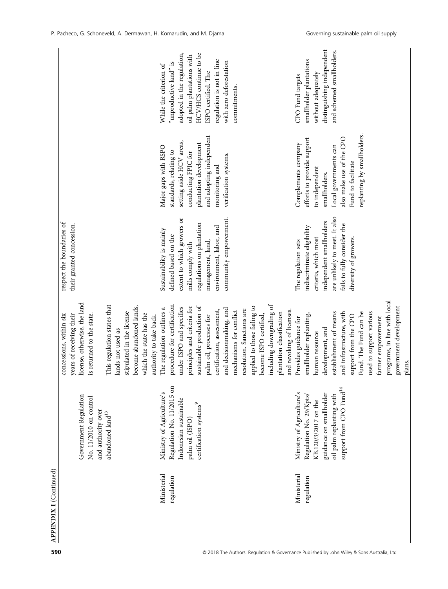| <b>APPENDIX I</b> (Continued) |                                                                                                                                                                            |                                                                                                                                                                                                                                                                                                                                                                                                                                             |                                                                                                                                                                                                            |                                                                                                                                                                                                    |                                                                                                                                                                                                                                      |
|-------------------------------|----------------------------------------------------------------------------------------------------------------------------------------------------------------------------|---------------------------------------------------------------------------------------------------------------------------------------------------------------------------------------------------------------------------------------------------------------------------------------------------------------------------------------------------------------------------------------------------------------------------------------------|------------------------------------------------------------------------------------------------------------------------------------------------------------------------------------------------------------|----------------------------------------------------------------------------------------------------------------------------------------------------------------------------------------------------|--------------------------------------------------------------------------------------------------------------------------------------------------------------------------------------------------------------------------------------|
|                               | Government Regulation<br>No. 11/2010 on control<br>and authority over<br>abandoned land $^{\rm 13}$                                                                        | license, otherwise, the land<br>This regulation states that<br>become abandoned lands,<br>stipulated in the license<br>which the state has the<br>years of receiving their<br>is returned to the state.<br>concessions, within six<br>authority to take back.<br>lands not used as                                                                                                                                                          | respect the boundaries of<br>their granted concession.                                                                                                                                                     |                                                                                                                                                                                                    |                                                                                                                                                                                                                                      |
| Ministerial<br>regulation     | Regulation No. 11/2015 on<br>Ministry of Agriculture's<br>Indonesian sustainable<br>certification systems <sup>9</sup><br>palm oil (ISPO)                                  | procedure for certification<br>including downgrading of<br>applied to those failing to<br>principles and criteria for<br>sustainable production of<br>The regulation outlines a<br>under ISPO and specifies<br>and decisionmaking, and<br>resolution. Sanctions are<br>certification, assessment,<br>mechanisms for conflict<br>and revoking of licenses.<br>plantation classification<br>become ISPO certified,<br>palm oil, processes for | community empowerment.<br>extent to which growers or<br>regulations on plantation<br>environment, labor, and<br>Sustainability is mainly<br>defined based on the<br>management, land,<br>mills comply with | and adopting independent<br>setting aside HCV areas,<br>plantation development<br>Major gaps with RSPO<br>standards, relating to<br>conducting FPIC for<br>verification systems.<br>monitoring and | HCV/HCS continue to be<br>adopted in the regulation,<br>oil palm plantations with<br>regulation is not in line<br>with zero deforestation<br>"unproductive land" is<br>While the criterion of<br>ISPO certified. The<br>commitments. |
| Ministerial<br>regulation     | support from CPO Fund <sup>14</sup><br>Ministry of Agriculture's<br>guidance on smallholder<br>oil palm replanting with<br>Regulation No. 29/Kpts/<br>KB.120/3/2017 on the | programs, in line with local<br>government development<br>establishment of means<br>and infrastructure, with<br>Fund. The Fund can be<br>used to support various<br>support from the CPO<br>smallholder replanting,<br>Provides guidance for<br>farmer empowerment<br>development, and<br>human resource<br>plans.                                                                                                                          | are unlikely to meet. It also<br>independent smallholders<br>fails to fully consider the<br>indiscriminate eligibility<br>criteria, which most<br>diversity of growers.<br>The regulation sets             | replanting by smallholders.<br>also make use of the CPO<br>efforts to provide support<br>Complements company<br>Local governments can<br>Fund to facilitate<br>to independent<br>smallholders.     | distinguishing independent<br>and schemed smallholders.<br>smallholder plantations<br>without adequately<br>CPO Fund targets                                                                                                         |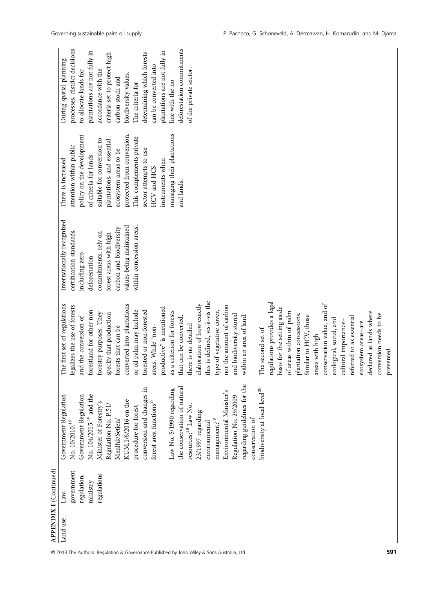|          | APPENDIX I (Continued) |                                     |                              |  |
|----------|------------------------|-------------------------------------|------------------------------|--|
| Land use |                        | Government Regulation               | The first set of regulations |  |
|          | zovernment             | No. 10/2010, <sup>15</sup>          | egalizes the use of forests  |  |
|          | egulation,             | Government Regulation               | and the conversion of        |  |
|          | ninistry               | No. 104/2015, <sup>16</sup> and the | orestland for other non-     |  |
|          | regulations            | Minister of Forestry's              | orestry purposes. They       |  |

Regulation No. P.51/ Menlhk/Setjen/ KUM.1/6/2016 on the procedure for forest conversion and changes in forest area functions<sup>17</sup>

Menlhk/Setjen/

Regulation No. P.51/

KUM.1/6/2016 on the

procedure for forest

specify that production forests that can be converted into plantations or oil palm may include forested or non-forested areas. While "nonproductive" is mentioned as a criterion for forests that can be converted, there is no detailed elaboration of how exactly this is defined, vis-à-vis the type of vegetative cover, nor the amount of carbon and biodiversity stored within an area of land.

forests that can be

pecify that production

converted into plantations

or oil palm may include forested or non-forested

> regarding guidelines for the regarding guidelines for the biodiversity at local level<sup>20</sup> the conservation of natural the conservation of natural Law No. 5/1990 regarding Law No. 5/1990 regarding Environmental Minister's biodiversity at local level<sup>20</sup> Environmental Minister's Regulation No. 29/2009 Regulation No. 29/2009 resources;<sup>18</sup> Law No. resources;<sup>18</sup> Law No. 23/1997 regarding 23/1997 regarding conservation of  $\rm management;^{19}$ conservation of environmental management;<sup>19</sup> environmental

this is defined, vis-à-vis the

nor the amount of carbon

und biodiversity stored within an area of land.

ype of vegetative cover,

elaboration of how exactly

regulations provides a legal regulations provides a legal conservation value, and of conservation value, and of pasis for the setting aside basis for the setting aside of areas within oil palm declared as lands where of areas within oil palm declared as lands where plantation concessions. conversion needs to be plantation concessions. conversion needs to be Similar to HCV, those referred to as essential Similar to HCV, those referred to as essential ecological, social, and ecological, social, and cultural importancecultural importance– ecosystem areas-are ecosystem areas–are The second set of The second set of areas with high areas with high prevented.

protected from conversion. policy on the development protected from conversion. This complements private policy on the development suitable for conversion to This complements private suitable for conversion to plantations, and essential plantations, and essential attention within public attention within public ecosystem areas to be sector attempts to use sector attempts to use ecosystem areas to be of criteria for lands of criteria for lands There is increased There is increased ternationally recognized Internationally recognized values being maintained within concession areas. values being maintained within concession areas. carbon and biodiversity carbon and biodiversity ertification standards, certification standards, ommitments, rely on forest areas with high commitments, rely on forest areas with high acluding zero including zero eforestation deforestation

deforestation commitments processes, district decisions plantations are not fully in deforestation commitments processes, district decisions plantations are not fully in plantations are not fully in plantations are not fully in criteria set to protect high determining which forests criteria set to protect high determining which forests During spatial planning During spatial planning can be converted into can be converted into of the private sector. accordance with the to allocate lands for of the private sector. accordance with the to allocate lands for biodiversity values. biodiversity values. carbon stock and carbon stock and line with the no The criteria for line with the no The criteria for

> HCV and HCS instruments when

HCV and HCS

instruments when

productive" is mentioned

areas. While "non-

conversion and changes in

forest area functions  ${}^{\!17}$ 

as a criterion for forests

that can be converted,

here is no detailed

managing their plantations

managing their plantations

and lands.

and lands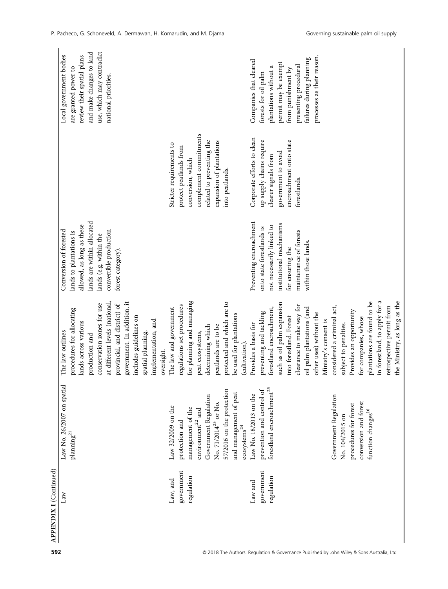| APPENDIX I (Continued) |                                        |                                |                            |                            |                            |
|------------------------|----------------------------------------|--------------------------------|----------------------------|----------------------------|----------------------------|
| Law                    | Law No. 26/2007 on spatia              | The law outlines               | Conversion of forested     |                            | Local government bodies    |
|                        | $\mathrm{planning}^{21}$               | procedures for allocating      | lands to plantations is    |                            | are granted power to       |
|                        |                                        | lands across various           | allowed, as long as these  |                            | review their spatial plans |
|                        |                                        | production and                 | lands are within allocated |                            | and make changes to land   |
|                        |                                        | conservation zones for use     | lands (e.g. within the     |                            | use, which may contradict  |
|                        |                                        | at different levels (national, | convertible production     |                            | national priorities.       |
|                        |                                        | provincial, and district) of   | forest category)           |                            |                            |
|                        |                                        | government. In addition, it    |                            |                            |                            |
|                        |                                        | includes guidelines on         |                            |                            |                            |
|                        |                                        | spatial planning,              |                            |                            |                            |
|                        |                                        | implementation, and            |                            |                            |                            |
|                        |                                        | oversight.                     |                            |                            |                            |
| Law, and               | Law 32/2009 on the                     | The law and government         |                            | Stricter requirements to   |                            |
| government             | protection and                         | regulations set procedures     |                            | protect peatlands from     |                            |
| regulation             | management of the                      | for planning and managing      |                            | conversion, which          |                            |
|                        | $\mbox{environment}^{\mbox{22}}$ and   | peat ecosystems,               |                            | complement commitments     |                            |
|                        | Government Regulation                  | determining which              |                            | related to preventing the  |                            |
|                        | No. 71/2014 <sup>23</sup> or No.       | peatlands are to be            |                            | expansion of plantations   |                            |
|                        | 57/2016 on the protection              | protected and which are to     |                            | into peatlands.            |                            |
|                        | and management of peat                 | be used for plantations        |                            |                            |                            |
|                        | ecosystems $^{\mathrm{24}}$            | (cultivation)                  |                            |                            |                            |
| Law and                | Law No. 18/2013 on the                 | Provides a basis for           | Preventing encroachment    | Corporate efforts to clean | Companies that cleared     |
| government             | prevention and control of              | preventing and tackling        | onto state forestlands is  | up supply chains require   | forests for oil palm       |
| regulation             | forestland encroach<br>ment $\sp{2^5}$ | forestland encroachment,       | not necessarily linked to  | clearer signals from       | a<br>plantations without   |
|                        |                                        | such as oil palm expansion     | institutional mechanisms   | government to avoid        | permit may be exempt       |
|                        |                                        | into forestland. Forest        | for ensuring the           | encroachment onto state    | from punishment by         |
|                        |                                        | clearance to make way for      | maintenance of forests     | forestlands.               | presenting procedural      |
|                        |                                        | oil palm plantations (and      | within those lands.        |                            | failures during planning   |
|                        |                                        | other uses) without the        |                            |                            | processes as their reason. |
|                        |                                        | Ministry's consent is          |                            |                            |                            |
|                        | Government Regulation                  | considered a criminal act,     |                            |                            |                            |
|                        | No. 104/2015 on                        | subject to penalties.          |                            |                            |                            |
|                        | procedures for forest                  | Provides an opportunity        |                            |                            |                            |
|                        | conversion and forest                  | for companies, whose           |                            |                            |                            |
|                        | function changes <sup>16</sup>         | plantations are found to be    |                            |                            |                            |
|                        |                                        | in forestland, to apply for a  |                            |                            |                            |
|                        |                                        | retrospective permit from      |                            |                            |                            |
|                        |                                        | the Ministry, as long as the   |                            |                            |                            |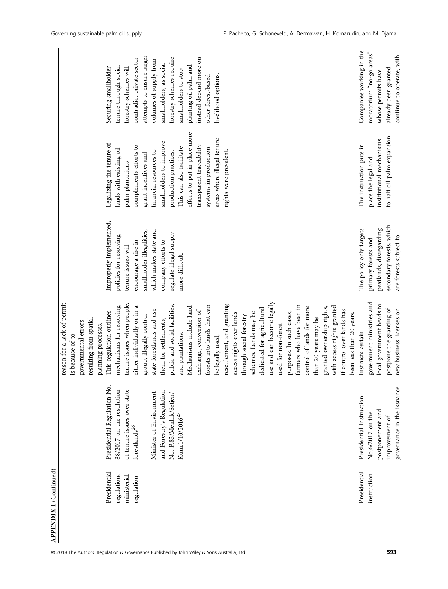| attempts to ensure larger<br>contradict private sector<br>tenure through social<br>Securing smallholder<br>forestry schemes will<br>Legalizing the tenure of<br>complements efforts to<br>lands with existing oil<br>grant incentives and<br>palm plantations            | forestry schemes require<br>instead depend more on<br>volumes of supply from<br>smallholders, as social<br>planting oil palm and<br>smallholders to stop<br>livelihood options.<br>other forest-based<br>efforts to put in place more<br>areas where illegal tenure<br>smallholders to improve<br>transparent traceability<br>This can also facilitate<br>systems in production<br>financial resources to<br>rights were prevalent.<br>production practices.                                                                                                                                                                                       | Companies working in the<br>moratorium "no-go areas"<br>continue to operate, with<br>already been granted<br>whose permits have<br>to halt oil palm expansion<br>institutional mechanisms<br>The instruction puts in<br>place the legal and |
|--------------------------------------------------------------------------------------------------------------------------------------------------------------------------------------------------------------------------------------------------------------------------|----------------------------------------------------------------------------------------------------------------------------------------------------------------------------------------------------------------------------------------------------------------------------------------------------------------------------------------------------------------------------------------------------------------------------------------------------------------------------------------------------------------------------------------------------------------------------------------------------------------------------------------------------|---------------------------------------------------------------------------------------------------------------------------------------------------------------------------------------------------------------------------------------------|
|                                                                                                                                                                                                                                                                          |                                                                                                                                                                                                                                                                                                                                                                                                                                                                                                                                                                                                                                                    |                                                                                                                                                                                                                                             |
| Improperly implemented,<br>smallholder illegalities,<br>policies for resolving<br>encourage a rise in<br>tenure issues will                                                                                                                                              | which makes state and<br>regulate illegal supply<br>company efforts to<br>more difficult.                                                                                                                                                                                                                                                                                                                                                                                                                                                                                                                                                          | secondary forests, which<br>peatlands, disregarding<br>The policy only targets<br>are forests subject to<br>primary forests and                                                                                                             |
| tenure issues when people,<br>reason for a lack of permit<br>mechanisms for resolving<br>either individually or in a<br>This regulation outlines<br>group, illegally control<br>resulting from spatial<br>governmental errors<br>planning processes.<br>is because of to | use and can become legally<br>resettlement, and granting<br>public and social facilities,<br>farmers who have been in<br>forests into lands that can<br>with access rights granted<br>Mechanisms include land<br>control of lands for more<br>granted ownership rights,<br>dedicated for agricultural<br>state forestlands and use<br>if control over lands has<br>exchange, conversion of<br>purposes. In such cases,<br>schemes. Lands may be<br>access rights over lands<br>been less than 20 years.<br>through social forestry<br>than 20 years may be<br>them for settlements,<br>used for non-forest<br>and plantations.<br>be legally used, | government ministries and<br>local government heads to<br>postpone the granting of<br>new business licenses on<br>Instructs certain                                                                                                         |
| Presidential Regulation No.<br>88/2017 on the resolution<br>of tenure issues over state<br>forestlands<br>$^{\rm 26}$                                                                                                                                                    | and Forestry's Regulation<br>Minister of Environment<br>No. P.83/Menlhk/Setjen/<br>Kum.1/10/2016 <sup>27</sup>                                                                                                                                                                                                                                                                                                                                                                                                                                                                                                                                     | governance in the issuance<br>Presidential Instruction<br>postponement and<br>No.6/2017 on the<br>improvement of                                                                                                                            |
| Presidential<br>regulation,<br>ministerial<br>regulation                                                                                                                                                                                                                 |                                                                                                                                                                                                                                                                                                                                                                                                                                                                                                                                                                                                                                                    | Presidential<br>instruction                                                                                                                                                                                                                 |

APPENDIX I (Continued)

APPENDIX I (Continued)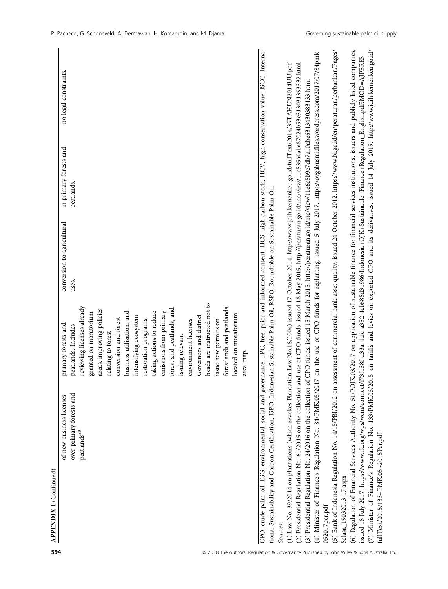| APPENDIX I (Continued) |                           |                             |                            |                        |                       |
|------------------------|---------------------------|-----------------------------|----------------------------|------------------------|-----------------------|
|                        | of new business licenses  | primary forests and         | conversion to agricultural | in primary forests and | no legal constraints. |
|                        | over primary forests and  | peatlands. Includes         | uses.                      | peatlands.             |                       |
|                        | $\rm{p}$ eatlands $^{28}$ | reviewing licenses already  |                            |                        |                       |
|                        |                           | granted on moratorium       |                            |                        |                       |
|                        |                           | areas, improving policies   |                            |                        |                       |
|                        |                           | relating to forest          |                            |                        |                       |
|                        |                           | conversion and forest       |                            |                        |                       |
|                        |                           | business utilization, and   |                            |                        |                       |
|                        |                           | intensifying ecosystem      |                            |                        |                       |
|                        |                           | restoration programs,       |                            |                        |                       |
|                        |                           | taking actions to reduce    |                            |                        |                       |
|                        |                           | emissions from primary      |                            |                        |                       |
|                        |                           | forest and peatlands, and   |                            |                        |                       |
|                        |                           | issuing relevant            |                            |                        |                       |
|                        |                           | environment licenses.       |                            |                        |                       |
|                        |                           | Governors and district      |                            |                        |                       |
|                        |                           | heads are instructed not to |                            |                        |                       |
|                        |                           | issue new permits on        |                            |                        |                       |
|                        |                           | forestlands and peatlands   |                            |                        |                       |
|                        |                           | located on moratorium       |                            |                        |                       |
|                        |                           | area map.                   |                            |                        |                       |
|                        |                           |                             |                            |                        |                       |

CPO, crude palm oil; ESG, environmental, social and governance; FPC, free, prior and informed consent; HCS, high carbon stock; HCV, high conservation value; ISCC, Interna-CPO, crude palm oil; ESG, environmental, social and governance; FPC, free, prior and informed consent; HCS, high carbon stock; HCV, high conservation value; ISCC, International Sustainability and Carbon Certification; ISPO, Indonesian Sustainable Palm Oil; RSPO, Roundtable on Sustainable Palm Oil. tional Sustainability and Carbon Certification; ISPO, Indonesian Sustainable Palm Oil; RSPO, Roundtable on Sustainable Palm Oil. Sources:

(4) Minister of Finance's Regulation No. 84/PMK.05/2017 on the use of CPO funds for replanting, issued 5 July 2017, https://oygabusmi.files.wordpress.com/2017/07/84pmk-(4) Minister of Finance's Regulation No. 84/PMK.05/2017 on the use of CPO funds for replanting, issued 5 July 2017, https://oygabusmi.fi[les.wordpress.com/2017/07/84pmk-](https://oygabusmi.files.wordpress.com/2017/07/84pmk-052017per.pdf)(1) Law No. 39/2014 on plantations (which revokes Plantation Law No.18/2004) issued 17 October 2014, http://www.jdih.kemenkeu.go.id/fullText/2014/39TAHUN2014UU.pdf 2) Presidential Regulation No. 61/2015 on the collection and use of CPO funds, issued 18 May 2015, http://peraturan.go.id/inc/view/11e535a0a1a87024b53e31303139332.html (1) Law No. 39/2014 on plantations (which revokes Plantation Law No.18/2004) issued 17 October 2014, <http://www.jdih.kemenkeu.go.id/fullText/2014/39TAHUN2014UU.pdf> (2) Presidential Regulation No. 61/2015 on the collection and use of CPO funds, issued 18 May 2015, <http://peraturan.go.id/inc/view/11e535a0a1a87024b53e313031393332.html> (3) Presidential Regulation No. 24/2016 on the collection of CPO funds, issued 15 March 2015, http://peraturan.go.id/inc/view/11e6c5b9e7db7a10abe6313430383133.html (3) Presidential Regulation No. 24/2016 on the collection of CPO funds, issued 15 March 2015, <http://peraturan.go.id/inc/view/11e6c5b9e7db7a10abe6313430383133.html> 052017per.pdf [052017per.pdf](https://oygabusmi.files.wordpress.com/2017/07/84pmk-052017per.pdf)

(5) Bank of Indonesia Regulation No. 14/15/PBI/2012 on assessment of commercial bank asset quality, issued 24 October 2012, https://www.bi.go.id/en/peraturan/perbankan/Pages/ (5) Bank of Indonesia Regulation No. 14/15/PBI/2012 on assessment of commercial bank asset quality, issued 24 October 2012, [https://www.bi.go.id/en/peraturan/perbankan/Pages/](https://www.bi.go.id/en/peraturan/perbankan/Pages/Selasa_19032013-17.aspx) Selasa\_19032013-17.aspx Selasa[\\_19032013-17.aspx](https://www.bi.go.id/en/peraturan/perbankan/Pages/Selasa_19032013-17.aspx)

(6) Regulation of Financial Services Authority No. 51/POJK.03/2017 on application of sustainable finance for financial services institutions, issuers and publicly listed companies, 7) Minister of Finance's Regulation No. 133/PMK.05/2015 on tariffs and levies on exported CPO and its derivatives, issued 14 July 2015, http://www.jdih.kemenkeu.go.id/ (6) Regulation of Financial Services Authority No. 51/POJK.03/2017 on application of sustainable finance for financial services institutions, issuers and publicly listed companies, (7) Minister of Finance's Regulation No. 133/PMK.05/2015 on tariffs and levies on exported CPO and its derivatives, issued 14 July 2015, [http://www.jdih.kemenkeu.go.id/](http://www.jdih.kemenkeu.go.id/fullText/2015/133~PMK.05~2015Per.pdf) issued 18 July 2017, https://www.ifc.org/wps/wcm/connect/f73fb38f-d33a-4afc-a352-4cb685d3b986/Indonesia+OJK+Sustainable+Finance+Regulation\_English.pdf?MOD=AJPERES issued 18 July 2017, [https://www.ifc.org/wps/wcm/connect/f73fb38f-d33a-4afc-a352-4cb685d3b986/Indonesia+OJK+Sustainable+Finance+Regulation\\_English.pdf?MOD=AJPERES](https://www.ifc.org/wps/wcm/connect/f73fb38f-d33a-4afc-a352-4cb685d3b986/Indonesia+OJK+Sustainable+Finance+Regulation_English.pdf?MOD=AJPERES) ullText/2015/133~PMK.05~2015Per.pdf [fullText/2015/133~PMK.05~2015Per.pdf](http://www.jdih.kemenkeu.go.id/fullText/2015/133~PMK.05~2015Per.pdf)

 $\overline{\phantom{a}}$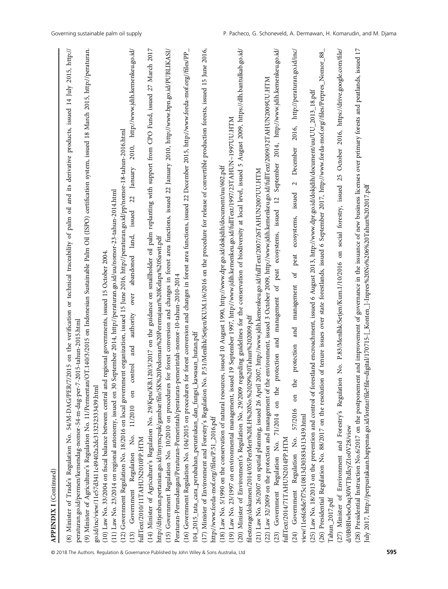| APPENDIX I (Continued)                                                                                                                                                                                                                                                                                                                                                                                                                                                                                       |
|--------------------------------------------------------------------------------------------------------------------------------------------------------------------------------------------------------------------------------------------------------------------------------------------------------------------------------------------------------------------------------------------------------------------------------------------------------------------------------------------------------------|
| $7/2015$ on the verification or technical traceability of palm oil and its derivative products, issued 14 July 2015, http://<br>(9) Minister of Agriculture's Regulation No. 11/Permentan/OT.140/3/2015 on Indonesian Sustainable Palm Oil (ISPO) certification system, issued 18 March 2015, http://peraturan.<br>peraturan.go.id/permen/kemendag-nomor-54-m-dag-per-7-2015-tahun-2015.html<br>(8) Minister of Trade's Regulation No. 54/M-DAG/PER/<br>go.id/inc/view/11e57d3411c49402a2dc313232333439.html |
| September 2014, http://peraturan.go.id/uu/nomor-23-tahun-2014.html<br>d regional governments, issued 15 October 2004.<br>(10) Law No. 33/2004 on fiscal balance between central an<br>(11) Law No. 23/2014 on regional autonomy, issued on 30                                                                                                                                                                                                                                                                |
| 2010, http://www.jdih.kemenkeu.go.id/<br>(12) Government Regulation No. 18/2016 on local government organization, issued 15 June 2016, http://peraturan.go.id/pp/nomor-18-tahun-2016.html<br>January<br>22<br>abandoned land, issued<br>over<br>authority<br>and<br>control<br>$\sin$<br>11/2010<br>(13) Government Regulation No.<br>fullText/2010/11TAHUN2010PP.HTM                                                                                                                                        |
| (14) Minister of Agriculture's Regulation No. 29/Kpts/KB.120/3/2017 on the guidance on smallholder oil palm replanting with support from CPO Fund, issued 27 March 2017<br>.%20Pedoman%20Peremajaan%20Kelapa%20Sawit.pdf<br>http://ditjenbun.pertanian.go.id/tinymcpuk/gambar/file/SK                                                                                                                                                                                                                        |
| (15) Government Regulation No. 10/2010 on procedures for forest conversion and changes in forest area functions, issued 22 January 2010, http://www.bpn.go.id/PUBLIKASI/<br>Peraturan-Perundangan/Peraturan-Pemerintah/peraturan-pemerintah-nomor-10-tahun-2010-2014                                                                                                                                                                                                                                         |
| for forest conversion and changes in forest area functions, issued 22 December 2015, http://www.forda-mof.org/files/PP<br>(16) Government Regulation No. 104/2015 on procedures                                                                                                                                                                                                                                                                                                                              |
| (17) Minister of Environment and Forestry's Regulation No. P.51/Menlhk/Setjen/KUM.1/6/2016 on the procedure for release of convertible production forests, issued 15 June 2016,<br>104_2015_tata_cara_perubahan_peruntukan_dan_fungsi_kawasan_hutan.pdf                                                                                                                                                                                                                                                      |
| http://www.forda-mof.org//files/P.51_2016.pdf                                                                                                                                                                                                                                                                                                                                                                                                                                                                |
| (18) Law No. 5/1990 on the conservation of natural resources, issued 10 August 1990, http://www.dpr.go.id/dokjdih/document/uu/602.pdf                                                                                                                                                                                                                                                                                                                                                                        |
| regarding guidelines for the conservation of biodiversity at local level, issued 5 August 2009, https://dlh.bantulkab.go.id/<br>(19) Law No. 23/1997 on environmental management, issued 19 September 1997, http://www.jdih.kemenkeu.go.id/fullText/1997/23TAHUN~1997UU.HTM<br>filestorage/dokumen/2014/05/PerMen%20LH%20No.%2029%20Tahun%202009.pdf<br>(20) Minister of Environment's Regulation No. 29/2009                                                                                                |
| 2007, http://www.jdih.kemenkeu.go.id/fullText/2007/26TAHUN2007UU.HTM<br>(21) Law No. 26/2007 on spatial planning, issued 26 April                                                                                                                                                                                                                                                                                                                                                                            |
| (22) Law 32/2009 on the protection and management of the environment, issued 3 October 2009, http://www.jdih.kemenkeu.go.id/fullText/2009/32TAHUN2009UU.HTM                                                                                                                                                                                                                                                                                                                                                  |
| 2014, http://www.jdih.kemenkeu.go.id/<br>September<br>of peat ecosystems, issued 12<br>management<br>protection and<br>(23) Government Regulation No. 71/2014 on the<br>fullText/2014/71TAHUN2014PP.HTM                                                                                                                                                                                                                                                                                                      |
| http://peraturan.go.id/inc/<br>2016,<br>December<br>2<br>issued<br>ecosystems,<br>peat<br>ð<br>management<br>and<br>protection<br>$57/2016$ on the<br>(24) Government Regulation No.                                                                                                                                                                                                                                                                                                                         |
| view/11e6fc8de7f75c10813d303834313439.html                                                                                                                                                                                                                                                                                                                                                                                                                                                                   |
| (26) Presidential Regulation No. 88/2017 on the resolution of tenure issues over state forestlands, issued 6 September 2017, http://www.forda-mof.org/files/Perpres_Nomor_88_<br>(25) Law No. 18/2013 on the prevention and control of forestland encroachment, issued 6 August 2013, http://www.dpr.go.id/dokjdih/document/uu/UU_2013_18.pdf                                                                                                                                                                |
| Tahun_2017.pdf                                                                                                                                                                                                                                                                                                                                                                                                                                                                                               |
| October 2016, https://drive.google.com/file/<br>25<br>social forestry, issued<br>P.83/Menlhk/Setjen/Kum.1/10/2016 on<br>Σó.<br>(27) Minister of Environment and Forestry's Regulation<br>d/0B0BIwboOaq30WTJtdlcyZ1o0V28/view                                                                                                                                                                                                                                                                                 |
| ent and improvement of governance in the issuance of new business licenses over primary forests and peatlands, issued 17<br>(28) Presidential Instruction No.6/2017 on the postponem                                                                                                                                                                                                                                                                                                                         |
| July 2017, http://perpustakaan.bappenas.go.id/lontar/file?file=digital/170715-[_Konten_]-Inpres%20No%206%20Tahun%202017.pdf                                                                                                                                                                                                                                                                                                                                                                                  |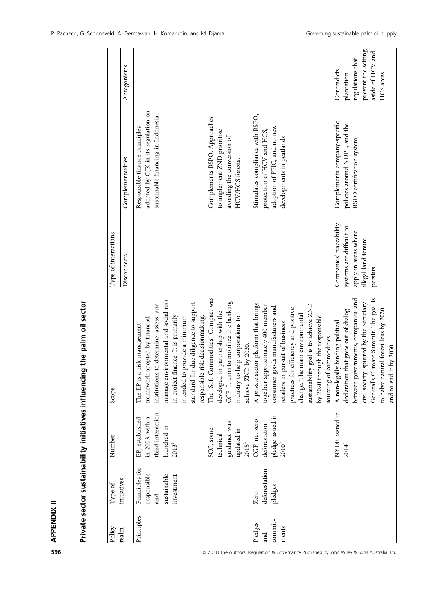| Policy     | Type of                       | Number                             | Scope                                                                  | Type of interactions     |                                                                       |                     |
|------------|-------------------------------|------------------------------------|------------------------------------------------------------------------|--------------------------|-----------------------------------------------------------------------|---------------------|
| realm      | initiatives                   |                                    |                                                                        | Disconnects              | Complementarities                                                     | Antagonisms         |
| Principles | Principles for<br>responsible | in 2003, with a<br>EP, established | framework adopted by financial<br>is a risk management<br>The EP       |                          | adopted by OJK in its regulation on<br>Responsible finance principles |                     |
|            | and                           | third interaction                  | institutions to determine, assess, and                                 |                          | sustainable financing in Indonesia.                                   |                     |
|            | sustainable                   | launched in                        | manage environmental and social risk                                   |                          |                                                                       |                     |
|            | investment                    | $2013^{\rm 1}$                     | in project finance. It is primarily                                    |                          |                                                                       |                     |
|            |                               |                                    | standard for due diligence to support<br>intended to provide a minimum |                          |                                                                       |                     |
|            |                               |                                    | responsible risk decisionmaking.                                       |                          |                                                                       |                     |
|            |                               | SCC, some                          | The "Soft Commodities" Compact was                                     |                          | Complements RSPO. Approaches                                          |                     |
|            |                               | technical                          | developed in partnership with the                                      |                          | to implement ZND prioritize                                           |                     |
|            |                               | guidance was                       | CGF. It aims to mobilize the banking                                   |                          | avoiding the conversion of                                            |                     |
|            |                               | updated in                         | industry to help corporations to                                       |                          | HCV/HCS forests.                                                      |                     |
|            |                               | $2015^{2}$                         | achieve ZND by 2020.                                                   |                          |                                                                       |                     |
| Pledges    | Zero                          | CGF, net zero                      | A private sector platform that brings                                  |                          | Stimulates compliance with RSPO,                                      |                     |
| and        | deforestation                 | deforestation                      | together approximately 400 member                                      |                          | protection of HCV and HCS,                                            |                     |
| commit-    | pledges                       | pledge issued in                   | consumer goods manufacturers and                                       |                          | adoption of FPIC, and no new                                          |                     |
| ments      |                               | $2010^{3}$                         | retailers in pursuit of business                                       |                          | developments in peatlands.                                            |                     |
|            |                               |                                    | practices for efficiency and positive                                  |                          |                                                                       |                     |
|            |                               |                                    | change. The main environmental                                         |                          |                                                                       |                     |
|            |                               |                                    | sustainability goal is to achieve ZND                                  |                          |                                                                       |                     |
|            |                               |                                    | by 2020 through the responsible                                        |                          |                                                                       |                     |
|            |                               |                                    | sourcing of commodities.                                               |                          |                                                                       |                     |
|            |                               | NYDF, issued in                    | A non-legally binding political                                        | Companies' traceability  | Complements company-specific                                          | Contradicts         |
|            |                               | $2014^{4}$                         | declaration that grew out of dialog                                    | systems are difficult to | policies around NDPE, and the                                         | plantation          |
|            |                               |                                    | between governments, companies, and                                    | apply in areas where     | RSPO certification system.                                            | regulations that    |
|            |                               |                                    | civil society, spurred by the Secretary                                | illegal land tenure      |                                                                       | prevent the setting |
|            |                               |                                    | I's Climate Summit. The goal is<br>General                             | persists.                |                                                                       | aside of HCV and    |
|            |                               |                                    | to halve natural forest loss by 2020,                                  |                          |                                                                       | HCS areas.          |
|            |                               |                                    | and to end it by 2030.                                                 |                          |                                                                       |                     |

Private sector sustainability initiatives influencing the palm oil sector fluencing the palm oil sector Private sector sustainability initiatives in

APPENDIX II

**APPENDIX II**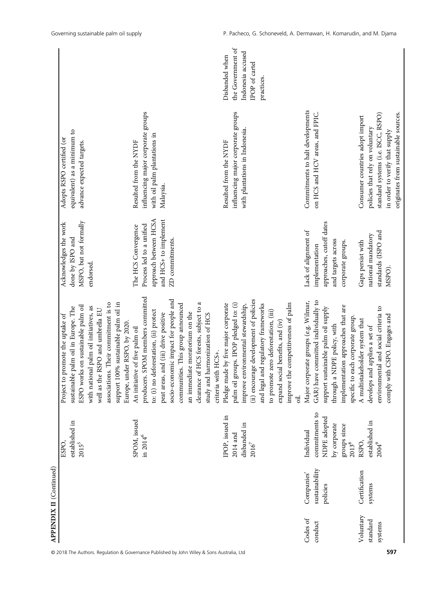| APPENDIX II (Continued)                                                                   |           |                            |                                |                                                                    |                                            |                                      |                   |
|-------------------------------------------------------------------------------------------|-----------|----------------------------|--------------------------------|--------------------------------------------------------------------|--------------------------------------------|--------------------------------------|-------------------|
|                                                                                           |           |                            | ESPO,                          | to promote the uptake of<br>Project                                | Acknowledges the work                      | Adopts RSPO certified (or            |                   |
|                                                                                           |           |                            | established in                 | sustainable palm oil in Europe. The                                | done by ISPO and                           | equivalent) as a minimum to          |                   |
|                                                                                           |           |                            | $2015^{5}$                     | ESPO works on sustainable palm oil                                 | MSPO, but not formally                     | advance expected targets.            |                   |
|                                                                                           |           |                            |                                | with national palm oil initiatives, as                             | endorsed.                                  |                                      |                   |
| © 2018 The Authors. Regulation & Governance Published by John Wiley & Sons Australia, Ltd |           |                            |                                | well as the RSPO and umbrella EU                                   |                                            |                                      |                   |
|                                                                                           |           |                            |                                | associations. Their commitment is to                               |                                            |                                      |                   |
|                                                                                           |           |                            |                                | support 100% sustainable palm oil in                               |                                            |                                      |                   |
|                                                                                           |           |                            |                                | Europe, under RSPO, by 2020.                                       |                                            |                                      |                   |
|                                                                                           |           |                            | SPOM, issued                   | An initiative of five palm oil                                     | The HCS Convergence                        | Resulted from the NYDF               |                   |
|                                                                                           |           |                            | in $2014^6$                    | producers. SPOM members committed                                  | Process led to a unified                   | influencing major corporate groups   |                   |
|                                                                                           |           |                            |                                | to: (i) no deforestation, (ii) protect                             | approach between HCSA                      | with oil palm plantations in         |                   |
|                                                                                           |           |                            |                                | peat areas, and (iii) drive positive                               | and HCS+ to implement                      | Malaysia.                            |                   |
|                                                                                           |           |                            |                                | socio-economic impact for people and                               | ZD commitments.                            |                                      |                   |
|                                                                                           |           |                            |                                | communities. This group announced                                  |                                            |                                      |                   |
|                                                                                           |           |                            |                                | an immediate moratorium on the                                     |                                            |                                      |                   |
|                                                                                           |           |                            |                                | clearance of HCS forests, subject to a                             |                                            |                                      |                   |
|                                                                                           |           |                            |                                | study and harmonization of HCS                                     |                                            |                                      |                   |
|                                                                                           |           |                            |                                | with HCS+.<br>criteria                                             |                                            |                                      |                   |
|                                                                                           |           |                            | IPOP, issued in                | Pledge made by five major corporate                                |                                            | Resulted from the NYDF               | Disbanded when    |
|                                                                                           |           |                            | 2014 and                       | palm oil groups. IPOP pledged to: (i)                              |                                            | influencing major corporate groups   | the Government of |
|                                                                                           |           |                            | disbanded in                   | improve environmental stewardship,                                 |                                            | with plantations in Indonesia.       | Indonesia accused |
|                                                                                           |           |                            | $2016^{7}$                     | (ii) encourage development of policies                             |                                            |                                      | IPOP of cartel    |
|                                                                                           |           |                            |                                |                                                                    |                                            |                                      |                   |
|                                                                                           |           |                            |                                | and legal and regulatory frameworks                                |                                            |                                      | practices.        |
|                                                                                           |           |                            |                                | to promote zero deforestation, (iii)                               |                                            |                                      |                   |
|                                                                                           |           |                            |                                | social benefits, and (iv)<br>$\exp$ and                            |                                            |                                      |                   |
|                                                                                           |           |                            |                                | improve the competitiveness of palm                                |                                            |                                      |                   |
|                                                                                           | Codes of  | Companies'                 | Individual                     | Major corporate groups (e.g. Wilmar,<br>$\ddot{a}$                 | Lack of alignment of                       | Commitments to halt developments     |                   |
|                                                                                           |           |                            |                                |                                                                    |                                            |                                      |                   |
|                                                                                           | conduct   | sustainability<br>policies | commitments to<br>NDPE adopted | GAR) have committed individually to<br>sustainable palm oil supply | approaches, cutoff dates<br>implementation | on HCS and HCV areas, and FPIC.      |                   |
|                                                                                           |           |                            |                                | a NDPE policy, with<br>support                                     |                                            |                                      |                   |
|                                                                                           |           |                            | by corporate                   | through                                                            | and targets across                         |                                      |                   |
|                                                                                           |           |                            | groups since                   | implementation approaches that are                                 | corporate groups.                          |                                      |                   |
|                                                                                           |           |                            | $2013^{8}$                     | specific to each corporate group.                                  |                                            |                                      |                   |
|                                                                                           | Voluntary | Certification              | RSPO,                          | A multistakeholder system that                                     | Gaps persist with                          | Consumer countries adopt import      |                   |
|                                                                                           | standard  | systems                    | established in                 | develops and applies a set of                                      | national mandatory                         | policies that rely on voluntary      |                   |
|                                                                                           | systems   |                            | $2004^{9}$                     | environmental and social criteria to                               | standards (ISPO and                        | standard systems (i.e. ISCC, RSPO)   |                   |
| 597                                                                                       |           |                            |                                | with CSPO. Engages and<br>comply                                   | MSPO).                                     | in order to verify that supply       |                   |
|                                                                                           |           |                            |                                |                                                                    |                                            | originates from sustainable sources. |                   |